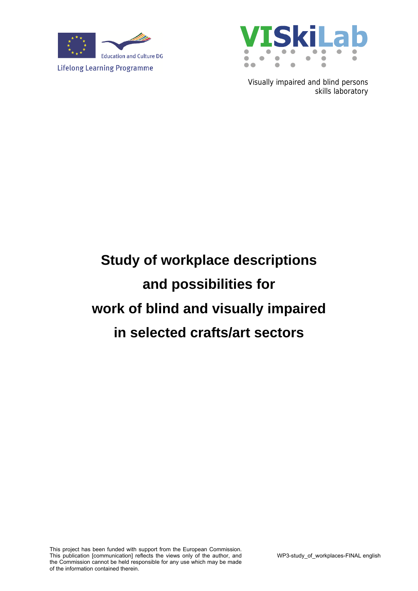



Visually impaired and blind persons skills laboratory

# **Study of workplace descriptions and possibilities for work of blind and visually impaired in selected crafts/art sectors**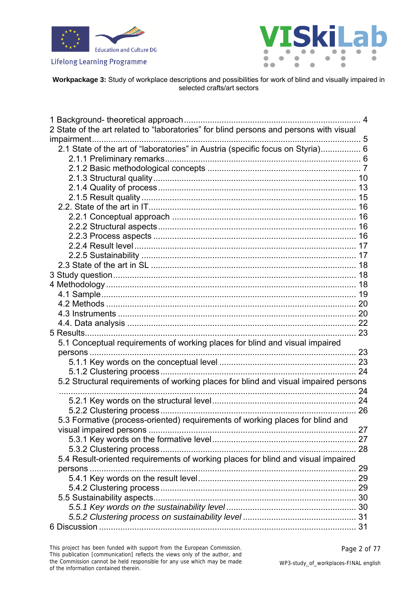



**Workpackage 3:** Study of workplace descriptions and possibilities for work of blind and visually impaired in selected crafts/art sectors

| 2 State of the art related to "laboratories" for blind persons and persons with visual |  |
|----------------------------------------------------------------------------------------|--|
|                                                                                        |  |
| 2.1 State of the art of "laboratories" in Austria (specific focus on Styria) 6         |  |
|                                                                                        |  |
|                                                                                        |  |
|                                                                                        |  |
|                                                                                        |  |
|                                                                                        |  |
|                                                                                        |  |
|                                                                                        |  |
|                                                                                        |  |
|                                                                                        |  |
|                                                                                        |  |
|                                                                                        |  |
|                                                                                        |  |
|                                                                                        |  |
|                                                                                        |  |
|                                                                                        |  |
|                                                                                        |  |
|                                                                                        |  |
|                                                                                        |  |
|                                                                                        |  |
| 5.1 Conceptual requirements of working places for blind and visual impaired            |  |
| persons                                                                                |  |
|                                                                                        |  |
|                                                                                        |  |
| 5.2 Structural requirements of working places for blind and visual impaired persons    |  |
|                                                                                        |  |
|                                                                                        |  |
|                                                                                        |  |
| 5.3 Formative (process-oriented) requirements of working places for blind and          |  |
|                                                                                        |  |
|                                                                                        |  |
|                                                                                        |  |
| 5.4 Result-oriented requirements of working places for blind and visual impaired       |  |
|                                                                                        |  |
|                                                                                        |  |
|                                                                                        |  |
|                                                                                        |  |
|                                                                                        |  |
|                                                                                        |  |
|                                                                                        |  |
|                                                                                        |  |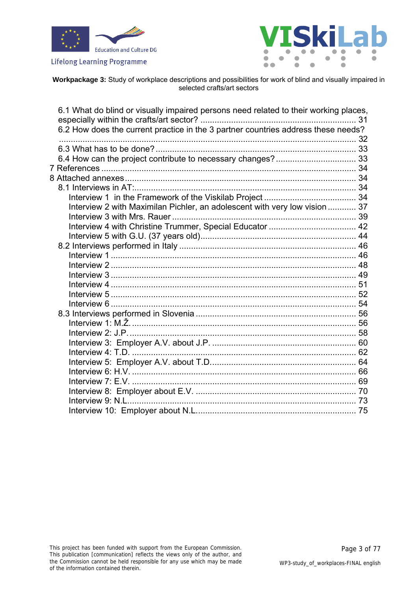





| 6.1 What do blind or visually impaired persons need related to their working places, |  |
|--------------------------------------------------------------------------------------|--|
| 6.2 How does the current practice in the 3 partner countries address these needs?    |  |
|                                                                                      |  |
|                                                                                      |  |
|                                                                                      |  |
|                                                                                      |  |
|                                                                                      |  |
|                                                                                      |  |
|                                                                                      |  |
| Interview 2 with Maximilan Pichler, an adolescent with very low vision  37           |  |
|                                                                                      |  |
|                                                                                      |  |
|                                                                                      |  |
|                                                                                      |  |
|                                                                                      |  |
|                                                                                      |  |
|                                                                                      |  |
|                                                                                      |  |
|                                                                                      |  |
|                                                                                      |  |
|                                                                                      |  |
|                                                                                      |  |
|                                                                                      |  |
|                                                                                      |  |
|                                                                                      |  |
|                                                                                      |  |
|                                                                                      |  |
|                                                                                      |  |
|                                                                                      |  |
|                                                                                      |  |
|                                                                                      |  |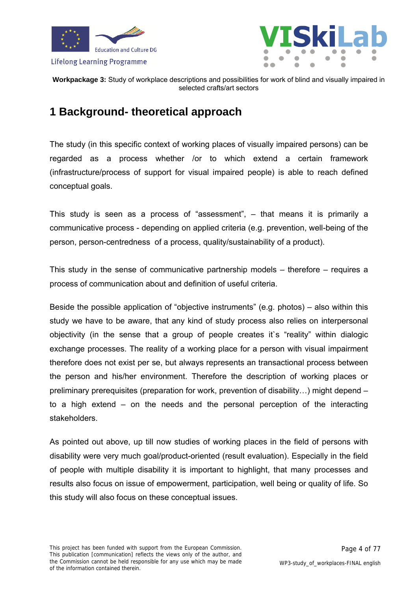



### <span id="page-3-0"></span>**1 Background- theoretical approach**

The study (in this specific context of working places of visually impaired persons) can be regarded as a process whether /or to which extend a certain framework (infrastructure/process of support for visual impaired people) is able to reach defined conceptual goals.

This study is seen as a process of "assessment", – that means it is primarily a communicative process - depending on applied criteria (e.g. prevention, well-being of the person, person-centredness of a process, quality/sustainability of a product).

This study in the sense of communicative partnership models – therefore – requires a process of communication about and definition of useful criteria.

Beside the possible application of "objective instruments" (e.g. photos) – also within this study we have to be aware, that any kind of study process also relies on interpersonal objectivity (in the sense that a group of people creates it`s "reality" within dialogic exchange processes. The reality of a working place for a person with visual impairment therefore does not exist per se, but always represents an transactional process between the person and his/her environment. Therefore the description of working places or preliminary prerequisites (preparation for work, prevention of disability…) might depend – to a high extend – on the needs and the personal perception of the interacting stakeholders.

As pointed out above, up till now studies of working places in the field of persons with disability were very much goal/product-oriented (result evaluation). Especially in the field of people with multiple disability it is important to highlight, that many processes and results also focus on issue of empowerment, participation, well being or quality of life. So this study will also focus on these conceptual issues.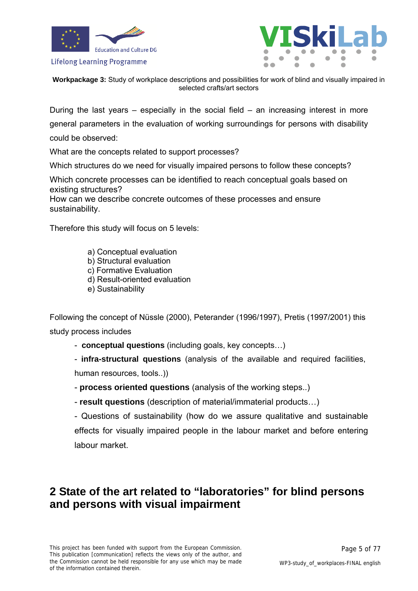



**Workpackage 3:** Study of workplace descriptions and possibilities for work of blind and visually impaired in selected crafts/art sectors

During the last years  $-$  especially in the social field  $-$  an increasing interest in more general parameters in the evaluation of working surroundings for persons with disability could be observed:

What are the concepts related to support processes?

Which structures do we need for visually impaired persons to follow these concepts?

Which concrete processes can be identified to reach conceptual goals based on existing structures?

How can we describe concrete outcomes of these processes and ensure sustainability.

Therefore this study will focus on 5 levels:

- a) Conceptual evaluation
- b) Structural evaluation
- c) Formative Evaluation
- d) Result-oriented evaluation
- e) Sustainability

Following the concept of Nüssle (2000), Peterander (1996/1997), Pretis (1997/2001) this study process includes

- **conceptual questions** (including goals, key concepts…)

- **infra-structural questions** (analysis of the available and required facilities, human resources, tools..))

- **process oriented questions** (analysis of the working steps..)
- **result questions** (description of material/immaterial products…)

- Questions of sustainability (how do we assure qualitative and sustainable effects for visually impaired people in the labour market and before entering labour market.

### <span id="page-4-0"></span>**2 State of the art related to "laboratories" for blind persons and persons with visual impairment**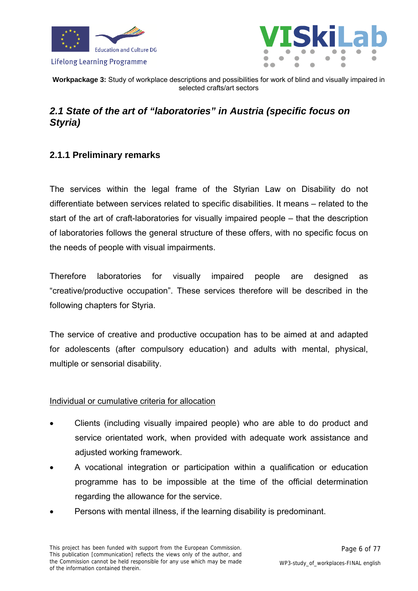



### <span id="page-5-0"></span>*2.1 State of the art of "laboratories" in Austria (specific focus on Styria)*

### <span id="page-5-1"></span>**2.1.1 Preliminary remarks**

The services within the legal frame of the Styrian Law on Disability do not differentiate between services related to specific disabilities. It means – related to the start of the art of craft-laboratories for visually impaired people – that the description of laboratories follows the general structure of these offers, with no specific focus on the needs of people with visual impairments.

Therefore laboratories for visually impaired people are designed as "creative/productive occupation". These services therefore will be described in the following chapters for Styria.

The service of creative and productive occupation has to be aimed at and adapted for adolescents (after compulsory education) and adults with mental, physical, multiple or sensorial disability.

### Individual or cumulative criteria for allocation

- Clients (including visually impaired people) who are able to do product and service orientated work, when provided with adequate work assistance and adjusted working framework.
- A vocational integration or participation within a qualification or education programme has to be impossible at the time of the official determination regarding the allowance for the service.
- Persons with mental illness, if the learning disability is predominant.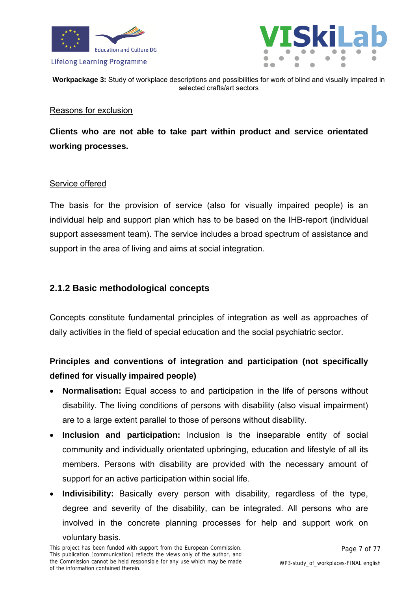



**Workpackage 3:** Study of workplace descriptions and possibilities for work of blind and visually impaired in selected crafts/art sectors

#### Reasons for exclusion

**Clients who are not able to take part within product and service orientated working processes.** 

### Service offered

The basis for the provision of service (also for visually impaired people) is an individual help and support plan which has to be based on the IHB-report (individual support assessment team). The service includes a broad spectrum of assistance and support in the area of living and aims at social integration.

### <span id="page-6-0"></span>**2.1.2 Basic methodological concepts**

Concepts constitute fundamental principles of integration as well as approaches of daily activities in the field of special education and the social psychiatric sector.

### **Principles and conventions of integration and participation (not specifically defined for visually impaired people)**

- **Normalisation:** Equal access to and participation in the life of persons without disability. The living conditions of persons with disability (also visual impairment) are to a large extent parallel to those of persons without disability.
- **Inclusion and participation:** Inclusion is the inseparable entity of social community and individually orientated upbringing, education and lifestyle of all its members. Persons with disability are provided with the necessary amount of support for an active participation within social life.
- **Indivisibility:** Basically every person with disability, regardless of the type, degree and severity of the disability, can be integrated. All persons who are involved in the concrete planning processes for help and support work on voluntary basis.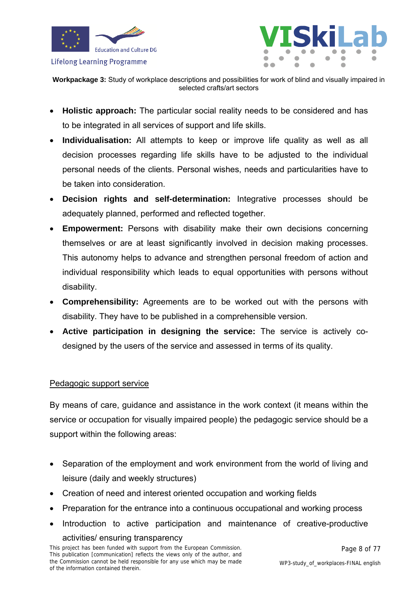

**Workpackage 3:** Study of workplace descriptions and possibilities for work of blind and visually impaired in selected crafts/art sectors

- **Holistic approach:** The particular social reality needs to be considered and has to be integrated in all services of support and life skills.
- **Individualisation:** All attempts to keep or improve life quality as well as all decision processes regarding life skills have to be adjusted to the individual personal needs of the clients. Personal wishes, needs and particularities have to be taken into consideration.
- **Decision rights and self-determination:** Integrative processes should be adequately planned, performed and reflected together.
- **Empowerment:** Persons with disability make their own decisions concerning themselves or are at least significantly involved in decision making processes. This autonomy helps to advance and strengthen personal freedom of action and individual responsibility which leads to equal opportunities with persons without disability.
- **Comprehensibility:** Agreements are to be worked out with the persons with disability. They have to be published in a comprehensible version.
- **Active participation in designing the service:** The service is actively codesigned by the users of the service and assessed in terms of its quality.

### Pedagogic support service

By means of care, guidance and assistance in the work context (it means within the service or occupation for visually impaired people) the pedagogic service should be a support within the following areas:

- Separation of the employment and work environment from the world of living and leisure (daily and weekly structures)
- Creation of need and interest oriented occupation and working fields
- Preparation for the entrance into a continuous occupational and working process
- Introduction to active participation and maintenance of creative-productive activities/ ensuring transparency

This project has been funded with support from the European Commission. This publication [communication] reflects the views only of the author, and the Commission cannot be held responsible for any use which may be made of the information contained therein.

Page 8 of 77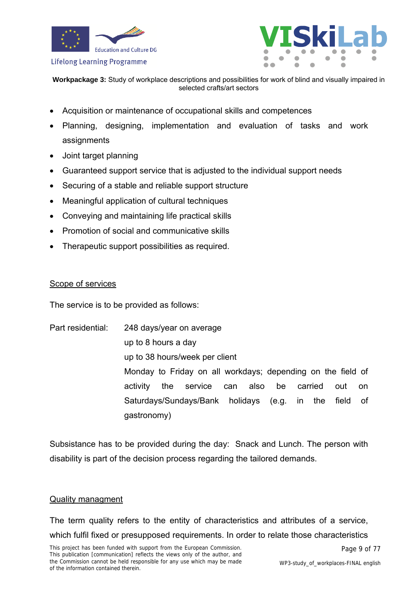



**Workpackage 3:** Study of workplace descriptions and possibilities for work of blind and visually impaired in selected crafts/art sectors

- Acquisition or maintenance of occupational skills and competences
- Planning, designing, implementation and evaluation of tasks and work assignments
- Joint target planning
- Guaranteed support service that is adjusted to the individual support needs
- Securing of a stable and reliable support structure
- Meaningful application of cultural techniques
- Conveying and maintaining life practical skills
- Promotion of social and communicative skills
- Therapeutic support possibilities as required.

#### Scope of services

The service is to be provided as follows:

Part residential: 248 days/year on average up to 8 hours a day up to 38 hours/week per client Monday to Friday on all workdays; depending on the field of activity the service can also be carried out on Saturdays/Sundays/Bank holidays (e.g. in the field of gastronomy)

Subsistance has to be provided during the day: Snack and Lunch. The person with disability is part of the decision process regarding the tailored demands.

### Quality managment

The term quality refers to the entity of characteristics and attributes of a service, which fulfil fixed or presupposed requirements. In order to relate those characteristics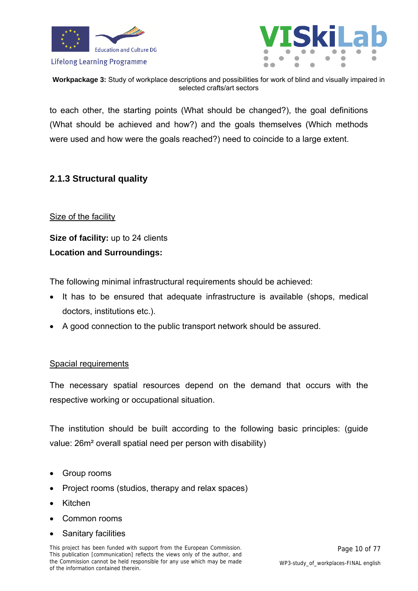



**Workpackage 3:** Study of workplace descriptions and possibilities for work of blind and visually impaired in selected crafts/art sectors

to each other, the starting points (What should be changed?), the goal definitions (What should be achieved and how?) and the goals themselves (Which methods were used and how were the goals reached?) need to coincide to a large extent.

### <span id="page-9-0"></span>**2.1.3 Structural quality**

### Size of the facility

**Size of facility:** up to 24 clients **Location and Surroundings:** 

The following minimal infrastructural requirements should be achieved:

- It has to be ensured that adequate infrastructure is available (shops, medical doctors, institutions etc.).
- A good connection to the public transport network should be assured.

### Spacial requirements

The necessary spatial resources depend on the demand that occurs with the respective working or occupational situation.

The institution should be built according to the following basic principles: (guide value: 26m² overall spatial need per person with disability)

- Group rooms
- Project rooms (studios, therapy and relax spaces)
- Kitchen
- Common rooms
- Sanitary facilities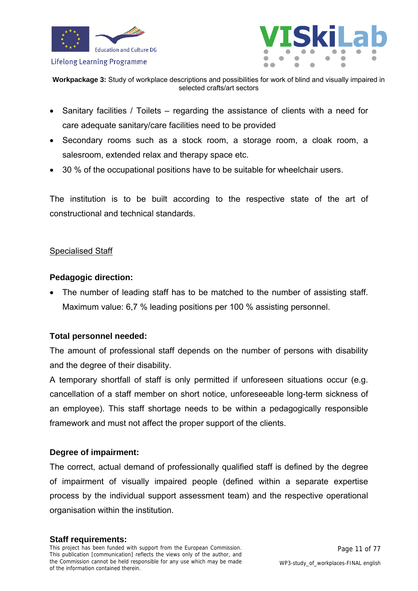



- Sanitary facilities / Toilets regarding the assistance of clients with a need for care adequate sanitary/care facilities need to be provided
- Secondary rooms such as a stock room, a storage room, a cloak room, a salesroom, extended relax and therapy space etc.
- 30 % of the occupational positions have to be suitable for wheelchair users.

The institution is to be built according to the respective state of the art of constructional and technical standards.

### Specialised Staff

### **Pedagogic direction:**

 The number of leading staff has to be matched to the number of assisting staff. Maximum value: 6,7 % leading positions per 100 % assisting personnel.

### **Total personnel needed:**

The amount of professional staff depends on the number of persons with disability and the degree of their disability.

A temporary shortfall of staff is only permitted if unforeseen situations occur (e.g. cancellation of a staff member on short notice, unforeseeable long-term sickness of an employee). This staff shortage needs to be within a pedagogically responsible framework and must not affect the proper support of the clients.

### **Degree of impairment:**

The correct, actual demand of professionally qualified staff is defined by the degree of impairment of visually impaired people (defined within a separate expertise process by the individual support assessment team) and the respective operational organisation within the institution.

#### **Staff requirements:**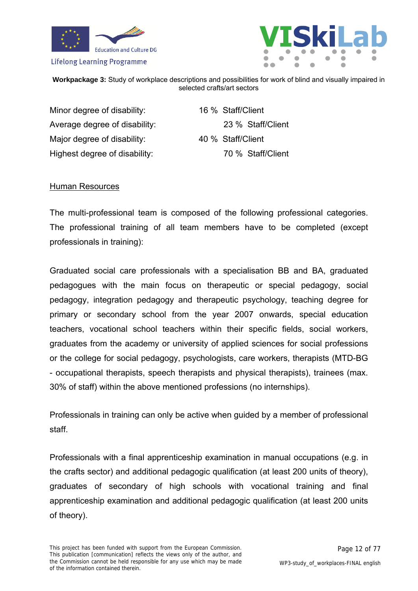



**Workpackage 3:** Study of workplace descriptions and possibilities for work of blind and visually impaired in selected crafts/art sectors

Minor degree of disability: 16 % Staff/Client Average degree of disability: 23 % Staff/Client Major degree of disability: 40 % Staff/Client Highest degree of disability: 70 % Staff/Client

### Human Resources

The multi-professional team is composed of the following professional categories. The professional training of all team members have to be completed (except professionals in training):

Graduated social care professionals with a specialisation BB and BA, graduated pedagogues with the main focus on therapeutic or special pedagogy, social pedagogy, integration pedagogy and therapeutic psychology, teaching degree for primary or secondary school from the year 2007 onwards, special education teachers, vocational school teachers within their specific fields, social workers, graduates from the academy or university of applied sciences for social professions or the college for social pedagogy, psychologists, care workers, therapists (MTD-BG - occupational therapists, speech therapists and physical therapists), trainees (max. 30% of staff) within the above mentioned professions (no internships).

Professionals in training can only be active when guided by a member of professional staff.

Professionals with a final apprenticeship examination in manual occupations (e.g. in the crafts sector) and additional pedagogic qualification (at least 200 units of theory), graduates of secondary of high schools with vocational training and final apprenticeship examination and additional pedagogic qualification (at least 200 units of theory).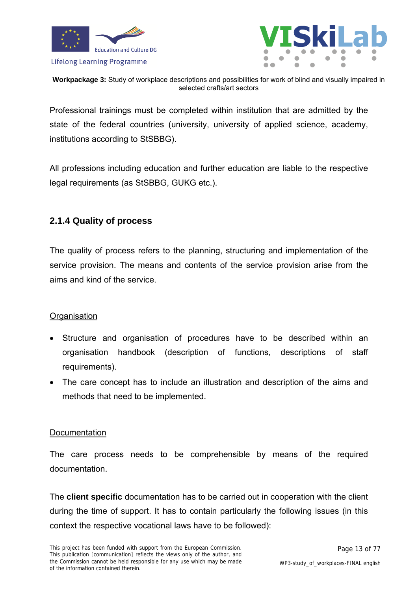



**Workpackage 3:** Study of workplace descriptions and possibilities for work of blind and visually impaired in selected crafts/art sectors

Professional trainings must be completed within institution that are admitted by the state of the federal countries (university, university of applied science, academy, institutions according to StSBBG).

All professions including education and further education are liable to the respective legal requirements (as StSBBG, GUKG etc.).

### <span id="page-12-0"></span>**2.1.4 Quality of process**

The quality of process refers to the planning, structuring and implementation of the service provision. The means and contents of the service provision arise from the aims and kind of the service.

### **Organisation**

- Structure and organisation of procedures have to be described within an organisation handbook (description of functions, descriptions of staff requirements).
- The care concept has to include an illustration and description of the aims and methods that need to be implemented.

### **Documentation**

The care process needs to be comprehensible by means of the required documentation.

The **client specific** documentation has to be carried out in cooperation with the client during the time of support. It has to contain particularly the following issues (in this context the respective vocational laws have to be followed):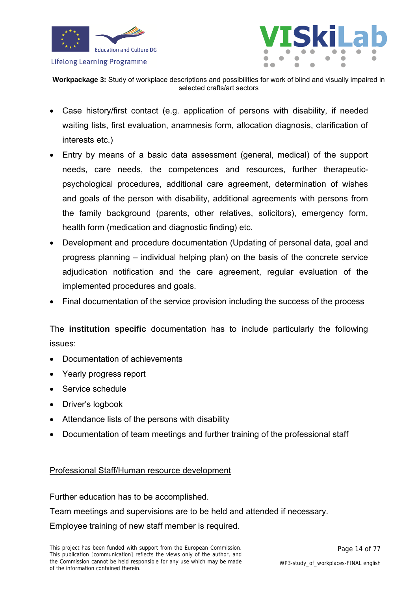



- Case history/first contact (e.g. application of persons with disability, if needed waiting lists, first evaluation, anamnesis form, allocation diagnosis, clarification of interests etc.)
- Entry by means of a basic data assessment (general, medical) of the support needs, care needs, the competences and resources, further therapeuticpsychological procedures, additional care agreement, determination of wishes and goals of the person with disability, additional agreements with persons from the family background (parents, other relatives, solicitors), emergency form, health form (medication and diagnostic finding) etc.
- Development and procedure documentation (Updating of personal data, goal and progress planning – individual helping plan) on the basis of the concrete service adjudication notification and the care agreement, regular evaluation of the implemented procedures and goals.
- Final documentation of the service provision including the success of the process

The **institution specific** documentation has to include particularly the following issues:

- Documentation of achievements
- Yearly progress report
- Service schedule
- Driver's logbook
- Attendance lists of the persons with disability
- Documentation of team meetings and further training of the professional staff

### Professional Staff/Human resource development

Further education has to be accomplished.

Team meetings and supervisions are to be held and attended if necessary.

Employee training of new staff member is required.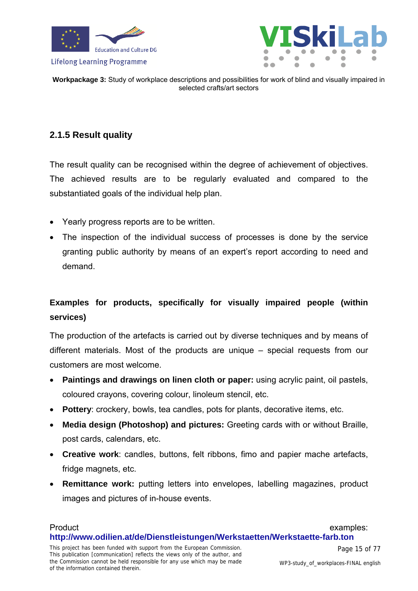



### <span id="page-14-0"></span>**2.1.5 Result quality**

The result quality can be recognised within the degree of achievement of objectives. The achieved results are to be regularly evaluated and compared to the substantiated goals of the individual help plan.

- Yearly progress reports are to be written.
- The inspection of the individual success of processes is done by the service granting public authority by means of an expert's report according to need and demand.

### **Examples for products, specifically for visually impaired people (within services)**

The production of the artefacts is carried out by diverse techniques and by means of different materials. Most of the products are unique – special requests from our customers are most welcome.

- **Paintings and drawings on linen cloth or paper:** using acrylic paint, oil pastels, coloured crayons, covering colour, linoleum stencil, etc.
- **Pottery**: crockery, bowls, tea candles, pots for plants, decorative items, etc.
- **Media design (Photoshop) and pictures:** Greeting cards with or without Braille, post cards, calendars, etc.
- **Creative work**: candles, buttons, felt ribbons, fimo and papier mache artefacts, fridge magnets, etc.
- **Remittance work:** putting letters into envelopes, labelling magazines, product images and pictures of in-house events.

#### Product examples: **<http://www.odilien.at/de/Dienstleistungen/Werkstaetten/Werkstaette-farb.ton>**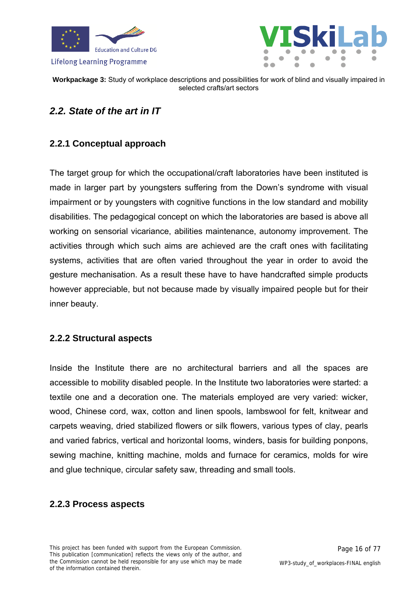



### <span id="page-15-0"></span>*2.2. State of the art in IT*

### <span id="page-15-1"></span>**2.2.1 Conceptual approach**

The target group for which the occupational/craft laboratories have been instituted is made in larger part by youngsters suffering from the Down's syndrome with visual impairment or by youngsters with cognitive functions in the low standard and mobility disabilities. The pedagogical concept on which the laboratories are based is above all working on sensorial vicariance, abilities maintenance, autonomy improvement. The activities through which such aims are achieved are the craft ones with facilitating systems, activities that are often varied throughout the year in order to avoid the gesture mechanisation. As a result these have to have handcrafted simple products however appreciable, but not because made by visually impaired people but for their inner beauty.

### <span id="page-15-2"></span>**2.2.2 Structural aspects**

Inside the Institute there are no architectural barriers and all the spaces are accessible to mobility disabled people. In the Institute two laboratories were started: a textile one and a decoration one. The materials employed are very varied: wicker, wood, Chinese cord, wax, cotton and linen spools, lambswool for felt, knitwear and carpets weaving, dried stabilized flowers or silk flowers, various types of clay, pearls and varied fabrics, vertical and horizontal looms, winders, basis for building ponpons, sewing machine, knitting machine, molds and furnace for ceramics, molds for wire and glue technique, circular safety saw, threading and small tools.

### <span id="page-15-3"></span>**2.2.3 Process aspects**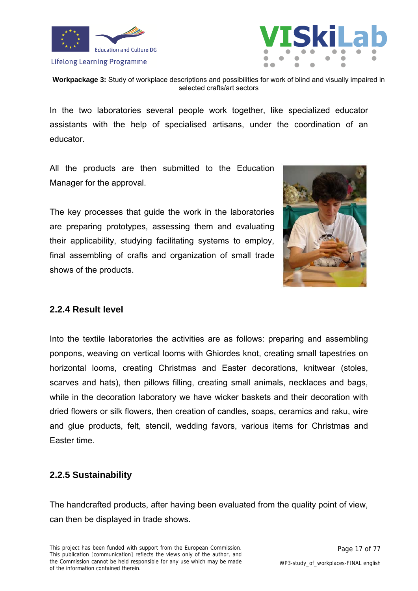



**Workpackage 3:** Study of workplace descriptions and possibilities for work of blind and visually impaired in selected crafts/art sectors

In the two laboratories several people work together, like specialized educator assistants with the help of specialised artisans, under the coordination of an educator.

All the products are then submitted to the Education Manager for the approval.

The key processes that guide the work in the laboratories are preparing prototypes, assessing them and evaluating their applicability, studying facilitating systems to employ, final assembling of crafts and organization of small trade shows of the products.



### <span id="page-16-0"></span>**2.2.4 Result level**

Into the textile laboratories the activities are as follows: preparing and assembling ponpons, weaving on vertical looms with Ghiordes knot, creating small tapestries on horizontal looms, creating Christmas and Easter decorations, knitwear (stoles, scarves and hats), then pillows filling, creating small animals, necklaces and bags, while in the decoration laboratory we have wicker baskets and their decoration with dried flowers or silk flowers, then creation of candles, soaps, ceramics and raku, wire and glue products, felt, stencil, wedding favors, various items for Christmas and Easter time.

### <span id="page-16-1"></span>**2.2.5 Sustainability**

The handcrafted products, after having been evaluated from the quality point of view, can then be displayed in trade shows.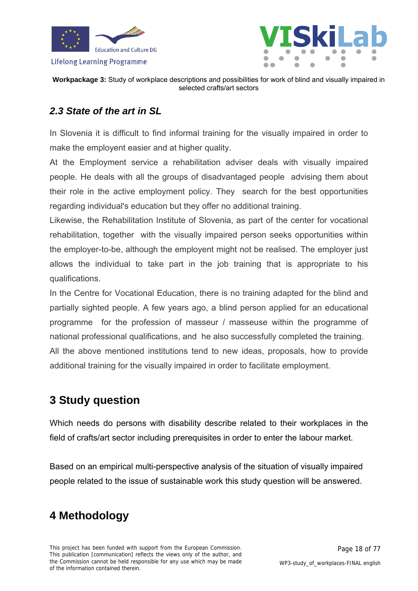



**Workpackage 3:** Study of workplace descriptions and possibilities for work of blind and visually impaired in selected crafts/art sectors

### <span id="page-17-0"></span>*2.3 State of the art in SL*

In Slovenia it is difficult to find informal training for the visually impaired in order to make the employent easier and at higher quality.

At the Employment service a rehabilitation adviser deals with visually impaired people. He deals with all the groups of disadvantaged people advising them about their role in the active employment policy. They search for the best opportunities regarding individual's education but they offer no additional training.

Likewise, the Rehabilitation Institute of Slovenia, as part of the center for vocational rehabilitation, together with the visually impaired person seeks opportunities within the employer-to-be, although the employent might not be realised. The employer just allows the individual to take part in the job training that is appropriate to his qualifications.

In the Centre for Vocational Education, there is no training adapted for the blind and partially sighted people. A few years ago, a blind person applied for an educational programme for the profession of masseur / masseuse within the programme of national professional qualifications, and he also successfully completed the training. All the above mentioned institutions tend to new ideas, proposals, how to provide

additional training for the visually impaired in order to facilitate employment.

### <span id="page-17-1"></span>**3 Study question**

Which needs do persons with disability describe related to their workplaces in the field of crafts/art sector including prerequisites in order to enter the labour market.

Based on an empirical multi-perspective analysis of the situation of visually impaired people related to the issue of sustainable work this study question will be answered.

## <span id="page-17-2"></span>**4 Methodology**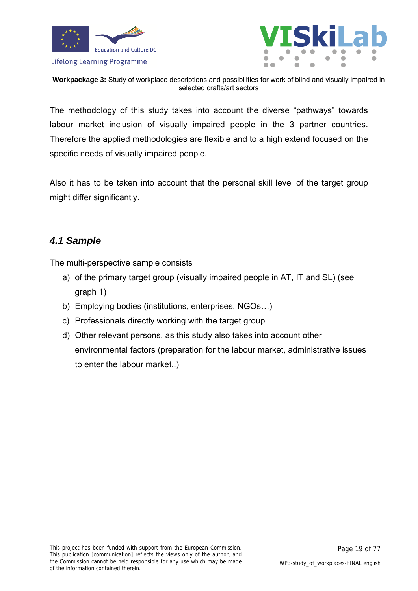



**Workpackage 3:** Study of workplace descriptions and possibilities for work of blind and visually impaired in selected crafts/art sectors

The methodology of this study takes into account the diverse "pathways" towards labour market inclusion of visually impaired people in the 3 partner countries. Therefore the applied methodologies are flexible and to a high extend focused on the specific needs of visually impaired people.

Also it has to be taken into account that the personal skill level of the target group might differ significantly.

### <span id="page-18-0"></span>*4.1 Sample*

The multi-perspective sample consists

- a) of the primary target group (visually impaired people in AT, IT and SL) (see graph 1)
- b) Employing bodies (institutions, enterprises, NGOs…)
- c) Professionals directly working with the target group
- d) Other relevant persons, as this study also takes into account other environmental factors (preparation for the labour market, administrative issues to enter the labour market..)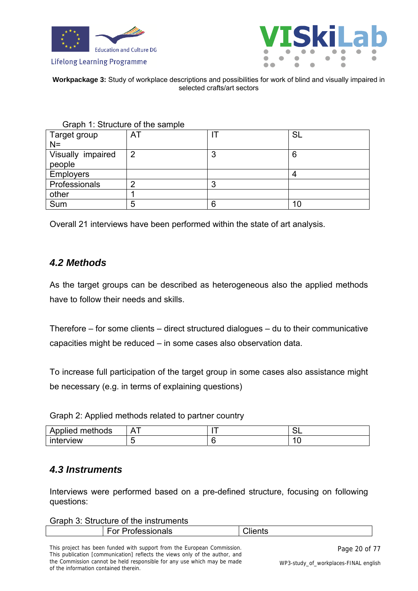





| Graph 1: Structure of the sample |                |   |           |
|----------------------------------|----------------|---|-----------|
| Target group                     | AT             |   | <b>SL</b> |
| $N =$                            |                |   |           |
| Visually impaired                | $\overline{2}$ | 3 | 6         |
| people                           |                |   |           |
| <b>Employers</b>                 |                |   |           |
| Professionals                    | റ              | 3 |           |
| other                            |                |   |           |
| Sum                              | 5              | 6 | 10        |

Overall 21 interviews have been performed within the state of art analysis.

### <span id="page-19-0"></span>*4.2 Methods*

As the target groups can be described as heterogeneous also the applied methods have to follow their needs and skills.

Therefore – for some clients – direct structured dialogues – du to their communicative capacities might be reduced – in some cases also observation data.

To increase full participation of the target group in some cases also assistance might be necessary (e.g. in terms of explaining questions)

Graph 2: Applied methods related to partner country

| .<br>methods<br>Applied | $\overline{\phantom{a}}$ | $\sim$<br>◡└ |
|-------------------------|--------------------------|--------------|
| . .<br>interview        |                          |              |

### <span id="page-19-1"></span>*4.3 Instruments*

Interviews were performed based on a pre-defined structure, focusing on following questions:

#### Graph 3: Structure of the instruments

| <u> Drofoecionale</u><br>ш<br>SK<br>ш<br>ાત્રાગ<br>ັ |
|------------------------------------------------------|
|------------------------------------------------------|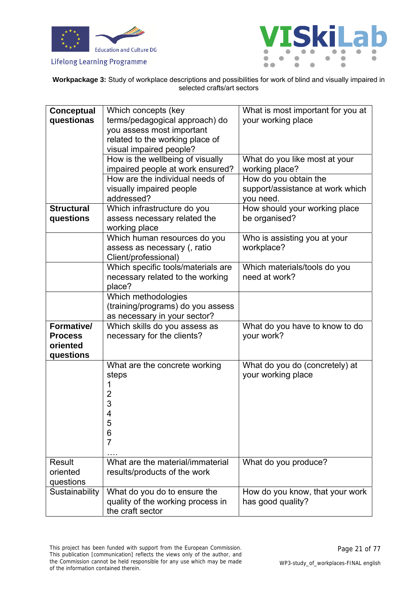



**Workpackage 3:** Study of workplace descriptions and possibilities for work of blind and visually impaired in selected crafts/art sectors

| <b>Conceptual</b> | Which concepts (key                                          | What is most important for you at          |
|-------------------|--------------------------------------------------------------|--------------------------------------------|
| questionas        | terms/pedagogical approach) do                               | your working place                         |
|                   | you assess most important                                    |                                            |
|                   | related to the working place of                              |                                            |
|                   | visual impaired people?                                      |                                            |
|                   | How is the wellbeing of visually                             | What do you like most at your              |
|                   | impaired people at work ensured?                             | working place?                             |
|                   | How are the individual needs of                              | How do you obtain the                      |
|                   | visually impaired people                                     | support/assistance at work which           |
|                   | addressed?                                                   | you need.                                  |
| <b>Structural</b> | Which infrastructure do you                                  | How should your working place              |
| questions         | assess necessary related the                                 | be organised?                              |
|                   | working place                                                |                                            |
|                   | Which human resources do you<br>assess as necessary (, ratio | Who is assisting you at your<br>workplace? |
|                   | Client/professional)                                         |                                            |
|                   | Which specific tools/materials are                           | Which materials/tools do you               |
|                   | necessary related to the working                             | need at work?                              |
|                   | place?                                                       |                                            |
|                   | Which methodologies                                          |                                            |
|                   | (training/programs) do you assess                            |                                            |
|                   | as necessary in your sector?                                 |                                            |
| Formative/        | Which skills do you assess as                                | What do you have to know to do             |
| <b>Process</b>    | necessary for the clients?                                   | your work?                                 |
| oriented          |                                                              |                                            |
| questions         | What are the concrete working                                | What do you do (concretely) at             |
|                   | steps                                                        | your working place                         |
|                   |                                                              |                                            |
|                   | $\overline{c}$                                               |                                            |
|                   | 3                                                            |                                            |
|                   | 4                                                            |                                            |
|                   | 5                                                            |                                            |
|                   | 6                                                            |                                            |
|                   | $\overline{7}$                                               |                                            |
|                   |                                                              |                                            |
| <b>Result</b>     | What are the material/immaterial                             | What do you produce?                       |
| oriented          | results/products of the work                                 |                                            |
| questions         |                                                              |                                            |
| Sustainability    | What do you do to ensure the                                 | How do you know, that your work            |
|                   | quality of the working process in                            | has good quality?                          |
|                   | the craft sector                                             |                                            |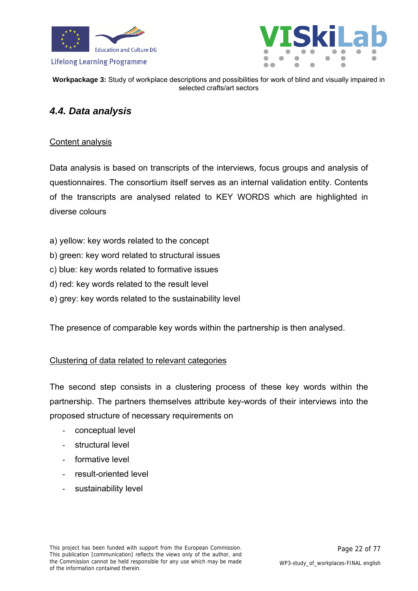



### <span id="page-21-0"></span>*4.4. Data analysis*

### Content analysis

Data analysis is based on transcripts of the interviews, focus groups and analysis of questionnaires. The consortium itself serves as an internal validation entity. Contents of the transcripts are analysed related to KEY WORDS which are highlighted in diverse colours

- a) yellow: key words related to the concept
- b) green: key word related to structural issues
- c) blue: key words related to formative issues
- d) red: key words related to the result level
- e) grey: key words related to the sustainability level

The presence of comparable key words within the partnership is then analysed.

### Clustering of data related to relevant categories

The second step consists in a clustering process of these key words within the partnership. The partners themselves attribute key-words of their interviews into the proposed structure of necessary requirements on

- conceptual level
- structural level
- formative level
- result-oriented level
- sustainability level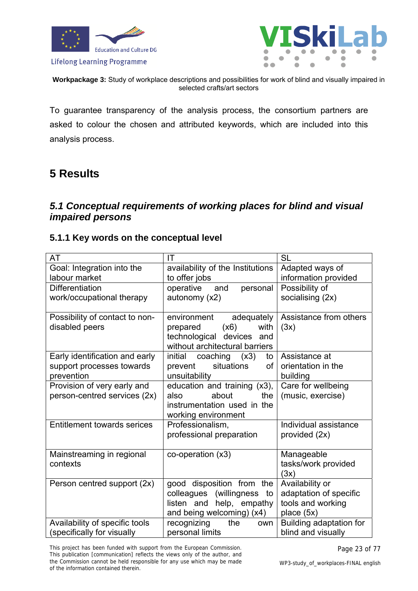



**Workpackage 3:** Study of workplace descriptions and possibilities for work of blind and visually impaired in selected crafts/art sectors

To guarantee transparency of the analysis process, the consortium partners are asked to colour the chosen and attributed keywords, which are included into this analysis process.

### <span id="page-22-0"></span>**5 Results**

### <span id="page-22-1"></span>*5.1 Conceptual requirements of working places for blind and visual impaired persons*

### <span id="page-22-2"></span>**5.1.1 Key words on the conceptual level**

| AT                                                          | IT                                                   | <b>SL</b>                               |
|-------------------------------------------------------------|------------------------------------------------------|-----------------------------------------|
| Goal: Integration into the                                  | availability of the Institutions                     | Adapted ways of                         |
| labour market                                               | to offer jobs                                        | information provided                    |
| <b>Differentiation</b>                                      | operative<br>personal<br>and                         | Possibility of                          |
| work/occupational therapy                                   | autonomy (x2)                                        | socialising (2x)                        |
|                                                             |                                                      |                                         |
| Possibility of contact to non-                              | environment<br>adequately                            | Assistance from others                  |
| disabled peers                                              | (x6)<br>with<br>prepared                             | (3x)                                    |
|                                                             | technological<br>devices<br>and                      |                                         |
|                                                             | without architectural barriers                       |                                         |
| Early identification and early                              | initial<br>coaching $(x3)$<br>to                     | Assistance at                           |
| support processes towards                                   | situations<br>prevent<br>of                          | orientation in the                      |
| prevention                                                  | unsuitability                                        | building                                |
| Provision of very early and<br>person-centred services (2x) | education and training (x3),<br>about<br>the<br>also | Care for wellbeing<br>(music, exercise) |
|                                                             | instrumentation used in the                          |                                         |
|                                                             | working environment                                  |                                         |
| <b>Entitlement towards serices</b>                          | Professionalism,                                     | Individual assistance                   |
|                                                             | professional preparation                             | provided (2x)                           |
|                                                             |                                                      |                                         |
| Mainstreaming in regional                                   | co-operation (x3)                                    | Manageable                              |
| contexts                                                    |                                                      | tasks/work provided                     |
|                                                             |                                                      | (3x)                                    |
| Person centred support (2x)                                 | good disposition from the                            | Availability or                         |
|                                                             | colleagues (willingness<br>to                        | adaptation of specific                  |
|                                                             | listen and<br>help, empathy                          | tools and working                       |
|                                                             | and being welcoming) (x4)                            | place (5x)                              |
| Availability of specific tools                              | recognizing<br>the<br>own                            | Building adaptation for                 |
| (specifically for visually                                  | personal limits                                      | blind and visually                      |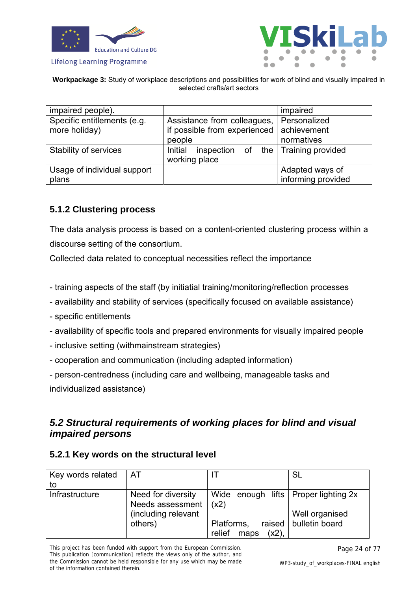





| impaired people).                            |                                                                     | impaired                    |
|----------------------------------------------|---------------------------------------------------------------------|-----------------------------|
| Specific entitlements (e.g.<br>more holiday) | Assistance from colleagues,<br>if possible from experienced         | Personalized<br>achievement |
|                                              | people                                                              | normatives                  |
| Stability of services                        | inspection of the $\sqrt{\frac{1}{1}}$ Training provided<br>Initial |                             |
|                                              | working place                                                       |                             |
| Usage of individual support                  |                                                                     | Adapted ways of             |
| plans                                        |                                                                     | informing provided          |

### <span id="page-23-0"></span>**5.1.2 Clustering process**

The data analysis process is based on a content-oriented clustering process within a discourse setting of the consortium.

Collected data related to conceptual necessities reflect the importance

- training aspects of the staff (by initiatial training/monitoring/reflection processes
- availability and stability of services (specifically focused on available assistance)
- specific entitlements
- availability of specific tools and prepared environments for visually impaired people
- inclusive setting (withmainstream strategies)
- cooperation and communication (including adapted information)
- person-centredness (including care and wellbeing, manageable tasks and

individualized assistance)

### <span id="page-23-1"></span>*5.2 Structural requirements of working places for blind and visual impaired persons*

### <span id="page-23-2"></span>**5.2.1 Key words on the structural level**

| Key words related | AT                                     |                                                | <b>SL</b>                                 |
|-------------------|----------------------------------------|------------------------------------------------|-------------------------------------------|
| to                |                                        |                                                |                                           |
| Infrastructure    | Need for diversity<br>Needs assessment | Wide enough lifts   Proper lighting 2x<br>(x2) |                                           |
|                   | (including relevant<br>others)         | Platforms,                                     | Well organised<br>raised   bulletin board |
|                   |                                        | relief<br>$(x2)$ ,<br>maps                     |                                           |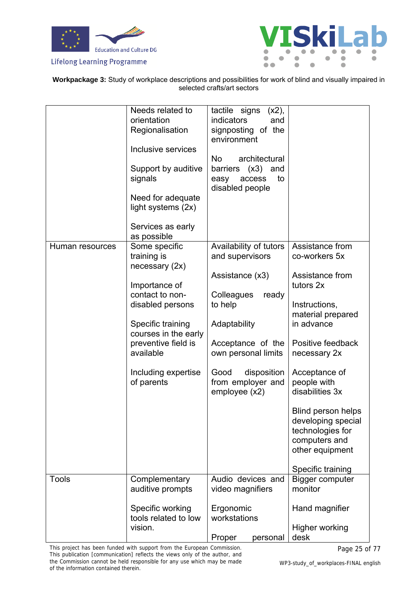





|                 | Needs related to<br>orientation<br>Regionalisation<br>Inclusive services<br>Support by auditive<br>signals<br>Need for adequate<br>light systems (2x)<br>Services as early<br>as possible                                      | tactile signs<br>(x2),<br>indicators<br>and<br>signposting of the<br>environment<br><b>No</b><br>architectural<br>(x3)<br>barriers<br>and<br>to<br>easy<br>access<br>disabled people                                    |                                                                                                                                                                                                                                                                                                                                       |
|-----------------|--------------------------------------------------------------------------------------------------------------------------------------------------------------------------------------------------------------------------------|-------------------------------------------------------------------------------------------------------------------------------------------------------------------------------------------------------------------------|---------------------------------------------------------------------------------------------------------------------------------------------------------------------------------------------------------------------------------------------------------------------------------------------------------------------------------------|
| Human resources | Some specific<br>training is<br>necessary $(2x)$<br>Importance of<br>contact to non-<br>disabled persons<br>Specific training<br>courses in the early<br>preventive field is<br>available<br>Including expertise<br>of parents | Availability of tutors<br>and supervisors<br>Assistance (x3)<br>Colleagues<br>ready<br>to help<br>Adaptability<br>Acceptance of the<br>own personal limits<br>Good<br>disposition<br>from employer and<br>employee (x2) | Assistance from<br>co-workers 5x<br>Assistance from<br>tutors 2x<br>Instructions,<br>material prepared<br>in advance<br>Positive feedback<br>necessary 2x<br>Acceptance of<br>people with<br>disabilities 3x<br>Blind person helps<br>developing special<br>technologies for<br>computers and<br>other equipment<br>Specific training |
| <b>Tools</b>    | Complementary<br>auditive prompts<br>Specific working<br>tools related to low<br>vision.                                                                                                                                       | Audio devices and<br>video magnifiers<br>Ergonomic<br>workstations<br>Proper<br>personal                                                                                                                                | Bigger computer<br>monitor<br>Hand magnifier<br>Higher working<br>desk                                                                                                                                                                                                                                                                |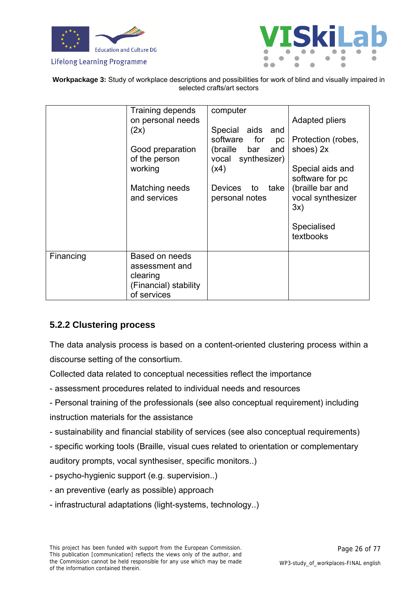





|           | Training depends<br>on personal needs<br>(2x)<br>Good preparation<br>of the person<br>working<br>Matching needs<br>and services | computer<br>Special aids and<br>software for<br>рc<br>and<br>(braille bar<br>vocal synthesizer)<br>(x4)<br>Devices to<br>take<br>personal notes | Adapted pliers<br>Protection (robes,<br>shoes) 2x<br>Special aids and<br>software for pc<br>(braille bar and<br>vocal synthesizer<br>3x)<br>Specialised<br>textbooks |
|-----------|---------------------------------------------------------------------------------------------------------------------------------|-------------------------------------------------------------------------------------------------------------------------------------------------|----------------------------------------------------------------------------------------------------------------------------------------------------------------------|
| Financing | Based on needs<br>assessment and<br>clearing<br>(Financial) stability<br>of services                                            |                                                                                                                                                 |                                                                                                                                                                      |

### <span id="page-25-0"></span>**5.2.2 Clustering process**

The data analysis process is based on a content-oriented clustering process within a discourse setting of the consortium.

Collected data related to conceptual necessities reflect the importance

- assessment procedures related to individual needs and resources
- Personal training of the professionals (see also conceptual requirement) including instruction materials for the assistance
- sustainability and financial stability of services (see also conceptual requirements)
- specific working tools (Braille, visual cues related to orientation or complementary

auditory prompts, vocal synthesiser, specific monitors..)

- psycho-hygienic support (e.g. supervision..)
- an preventive (early as possible) approach
- infrastructural adaptations (light-systems, technology..)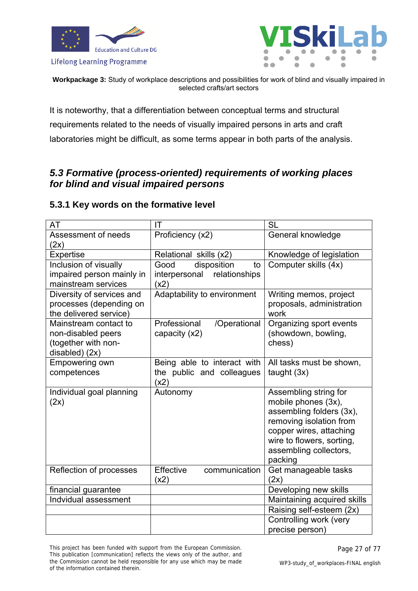



**Workpackage 3:** Study of workplace descriptions and possibilities for work of blind and visually impaired in selected crafts/art sectors

It is noteworthy, that a differentiation between conceptual terms and structural requirements related to the needs of visually impaired persons in arts and craft laboratories might be difficult, as some terms appear in both parts of the analysis.

### <span id="page-26-0"></span>*5.3 Formative (process-oriented) requirements of working places for blind and visual impaired persons*

### <span id="page-26-1"></span>**5.3.1 Key words on the formative level**

| AT                        | IT                                | <b>SL</b>                   |
|---------------------------|-----------------------------------|-----------------------------|
| Assessment of needs       | Proficiency (x2)                  | General knowledge           |
| (2x)                      |                                   |                             |
| Expertise                 | Relational skills (x2)            | Knowledge of legislation    |
| Inclusion of visually     | Good<br>disposition<br>to         | Computer skills (4x)        |
| impaired person mainly in | interpersonal<br>relationships    |                             |
| mainstream services       | (x2)                              |                             |
| Diversity of services and | Adaptability to environment       | Writing memos, project      |
| processes (depending on   |                                   | proposals, administration   |
| the delivered service)    |                                   | work                        |
| Mainstream contact to     | Professional<br>/Operational      | Organizing sport events     |
| non-disabled peers        | capacity (x2)                     | (showdown, bowling,         |
| (together with non-       |                                   | chess)                      |
| disabled) (2x)            |                                   |                             |
| Empowering own            | Being able to interact with       | All tasks must be shown,    |
| competences               | the public and colleagues<br>(x2) | taught $(3x)$               |
| Individual goal planning  | Autonomy                          | Assembling string for       |
| (2x)                      |                                   | mobile phones (3x),         |
|                           |                                   | assembling folders (3x),    |
|                           |                                   | removing isolation from     |
|                           |                                   | copper wires, attaching     |
|                           |                                   | wire to flowers, sorting,   |
|                           |                                   | assembling collectors,      |
|                           |                                   | packing                     |
| Reflection of processes   | <b>Effective</b><br>communication | Get manageable tasks        |
|                           | (x2)                              | (2x)                        |
| financial guarantee       |                                   | Developing new skills       |
| Indvidual assessment      |                                   | Maintaining acquired skills |
|                           |                                   | Raising self-esteem (2x)    |
|                           |                                   | Controlling work (very      |
|                           |                                   | precise person)             |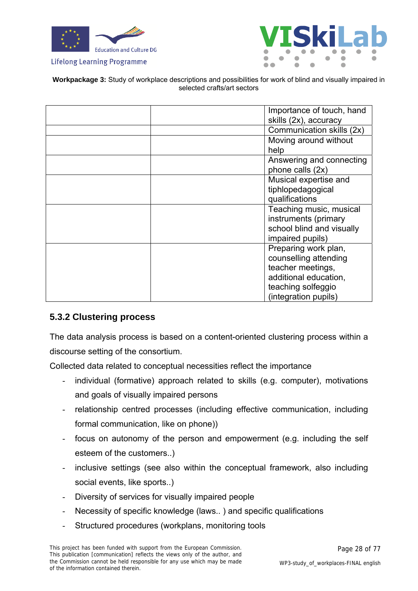



**Workpackage 3:** Study of workplace descriptions and possibilities for work of blind and visually impaired in selected crafts/art sectors

| Importance of touch, hand |
|---------------------------|
| skills (2x), accuracy     |
| Communication skills (2x) |
| Moving around without     |
| help                      |
| Answering and connecting  |
| phone calls (2x)          |
| Musical expertise and     |
| tiphlopedagogical         |
| qualifications            |
| Teaching music, musical   |
| instruments (primary      |
| school blind and visually |
| impaired pupils)          |
| Preparing work plan,      |
| counselling attending     |
| teacher meetings,         |
| additional education,     |
| teaching solfeggio        |
| (integration pupils)      |

### <span id="page-27-0"></span>**5.3.2 Clustering process**

The data analysis process is based on a content-oriented clustering process within a discourse setting of the consortium.

Collected data related to conceptual necessities reflect the importance

- individual (formative) approach related to skills (e.g. computer), motivations and goals of visually impaired persons
- relationship centred processes (including effective communication, including formal communication, like on phone))
- focus on autonomy of the person and empowerment (e.g. including the self esteem of the customers..)
- inclusive settings (see also within the conceptual framework, also including social events, like sports..)
- Diversity of services for visually impaired people
- Necessity of specific knowledge (laws..) and specific qualifications
- Structured procedures (workplans, monitoring tools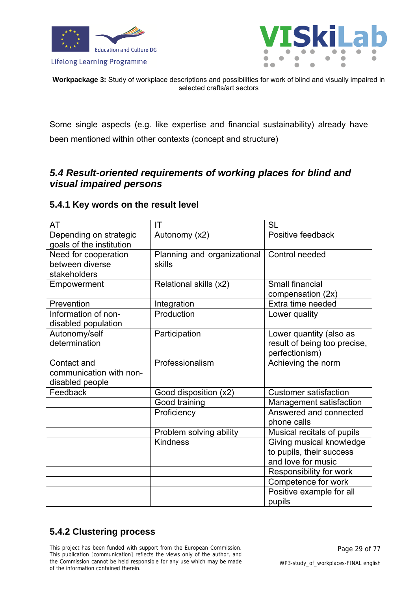



**Workpackage 3:** Study of workplace descriptions and possibilities for work of blind and visually impaired in selected crafts/art sectors

Some single aspects (e.g. like expertise and financial sustainability) already have been mentioned within other contexts (concept and structure)

### <span id="page-28-0"></span>*5.4 Result-oriented requirements of working places for blind and visual impaired persons*

### <span id="page-28-1"></span>**5.4.1 Key words on the result level**

| AT                                                        | IT                                    | <b>SL</b>                                                                  |
|-----------------------------------------------------------|---------------------------------------|----------------------------------------------------------------------------|
| Depending on strategic<br>goals of the institution        | Autonomy (x2)                         | Positive feedback                                                          |
| Need for cooperation<br>between diverse<br>stakeholders   | Planning and organizational<br>skills | Control needed                                                             |
| Empowerment                                               | Relational skills (x2)                | Small financial<br>compensation (2x)                                       |
| Prevention                                                | Integration                           | Extra time needed                                                          |
| Information of non-<br>disabled population                | Production                            | Lower quality                                                              |
| Autonomy/self<br>determination                            | Participation                         | Lower quantity (also as<br>result of being too precise,<br>perfectionism)  |
| Contact and<br>communication with non-<br>disabled people | Professionalism                       | Achieving the norm                                                         |
| Feedback                                                  | Good disposition (x2)                 | <b>Customer satisfaction</b>                                               |
|                                                           | Good training                         | Management satisfaction                                                    |
|                                                           | Proficiency                           | Answered and connected<br>phone calls                                      |
|                                                           | Problem solving ability               | Musical recitals of pupils                                                 |
|                                                           | <b>Kindness</b>                       | Giving musical knowledge<br>to pupils, their success<br>and love for music |
|                                                           |                                       | Responsibility for work                                                    |
|                                                           |                                       | Competence for work                                                        |
|                                                           |                                       | Positive example for all                                                   |
|                                                           |                                       | pupils                                                                     |

### <span id="page-28-2"></span>**5.4.2 Clustering process**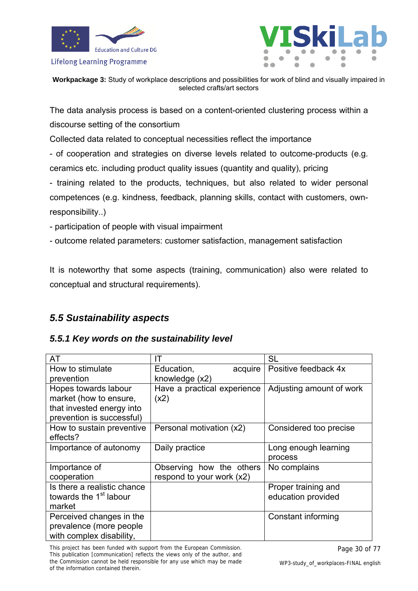



**Workpackage 3:** Study of workplace descriptions and possibilities for work of blind and visually impaired in selected crafts/art sectors

The data analysis process is based on a content-oriented clustering process within a discourse setting of the consortium

Collected data related to conceptual necessities reflect the importance

- of cooperation and strategies on diverse levels related to outcome-products (e.g. ceramics etc. including product quality issues (quantity and quality), pricing

- training related to the products, techniques, but also related to wider personal competences (e.g. kindness, feedback, planning skills, contact with customers, ownresponsibility..)

- participation of people with visual impairment

- outcome related parameters: customer satisfaction, management satisfaction

It is noteworthy that some aspects (training, communication) also were related to conceptual and structural requirements).

### <span id="page-29-0"></span>*5.5 Sustainability aspects*

### *5.5.1 Key words on the sustainability level*

<span id="page-29-1"></span>

| AT                                 | IΤ                          | SL                       |
|------------------------------------|-----------------------------|--------------------------|
| How to stimulate                   | acquire<br>Education,       | Positive feedback 4x     |
| prevention                         | knowledge (x2)              |                          |
| Hopes towards labour               | Have a practical experience | Adjusting amount of work |
| market (how to ensure,             | (x2)                        |                          |
| that invested energy into          |                             |                          |
| prevention is successful)          |                             |                          |
| How to sustain preventive          | Personal motivation (x2)    | Considered too precise   |
| effects?                           |                             |                          |
| Importance of autonomy             | Daily practice              | Long enough learning     |
|                                    |                             | process                  |
| Importance of                      | Observing how the others    | No complains             |
| cooperation                        | respond to your work (x2)   |                          |
| Is there a realistic chance        |                             | Proper training and      |
| towards the 1 <sup>st</sup> labour |                             | education provided       |
| market                             |                             |                          |
| Perceived changes in the           |                             | Constant informing       |
| prevalence (more people)           |                             |                          |
| with complex disability,           |                             |                          |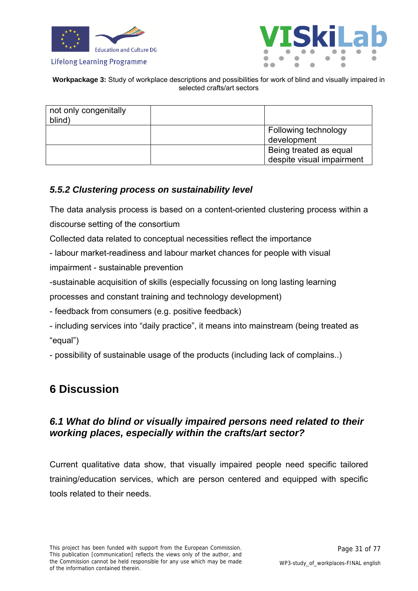





| not only congenitally<br>blind) |                                                     |
|---------------------------------|-----------------------------------------------------|
|                                 | Following technology<br>development                 |
|                                 | Being treated as equal<br>despite visual impairment |

### <span id="page-30-0"></span>*5.5.2 Clustering process on sustainability level*

The data analysis process is based on a content-oriented clustering process within a discourse setting of the consortium

Collected data related to conceptual necessities reflect the importance

- labour market-readiness and labour market chances for people with visual impairment - sustainable prevention

-sustainable acquisition of skills (especially focussing on long lasting learning processes and constant training and technology development)

- feedback from consumers (e.g. positive feedback)

- including services into "daily practice", it means into mainstream (being treated as "equal")

- possibility of sustainable usage of the products (including lack of complains..)

### <span id="page-30-1"></span>**6 Discussion**

### <span id="page-30-2"></span>*6.1 What do blind or visually impaired persons need related to their working places, especially within the crafts/art sector?*

Current qualitative data show, that visually impaired people need specific tailored training/education services, which are person centered and equipped with specific tools related to their needs.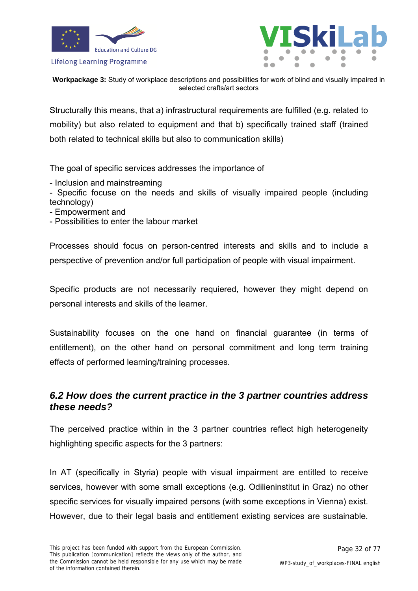



**Workpackage 3:** Study of workplace descriptions and possibilities for work of blind and visually impaired in selected crafts/art sectors

Structurally this means, that a) infrastructural requirements are fulfilled (e.g. related to mobility) but also related to equipment and that b) specifically trained staff (trained both related to technical skills but also to communication skills)

The goal of specific services addresses the importance of

- Inclusion and mainstreaming

- Specific focuse on the needs and skills of visually impaired people (including technology)

- Empowerment and
- Possibilities to enter the labour market

Processes should focus on person-centred interests and skills and to include a perspective of prevention and/or full participation of people with visual impairment.

Specific products are not necessarily requiered, however they might depend on personal interests and skills of the learner.

Sustainability focuses on the one hand on financial guarantee (in terms of entitlement), on the other hand on personal commitment and long term training effects of performed learning/training processes.

### <span id="page-31-0"></span>*6.2 How does the current practice in the 3 partner countries address these needs?*

The perceived practice within in the 3 partner countries reflect high heterogeneity highlighting specific aspects for the 3 partners:

In AT (specifically in Styria) people with visual impairment are entitled to receive services, however with some small exceptions (e.g. Odilieninstitut in Graz) no other specific services for visually impaired persons (with some exceptions in Vienna) exist. However, due to their legal basis and entitlement existing services are sustainable.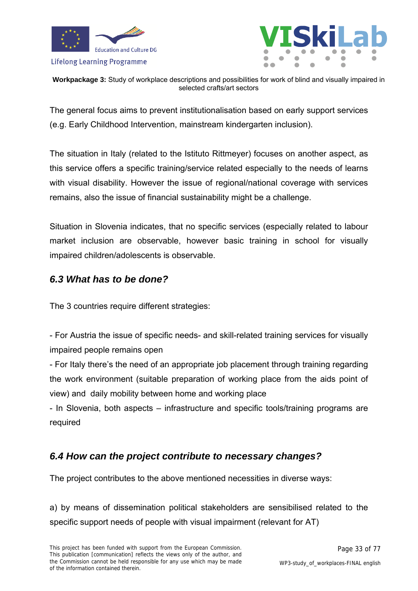



**Workpackage 3:** Study of workplace descriptions and possibilities for work of blind and visually impaired in selected crafts/art sectors

The general focus aims to prevent institutionalisation based on early support services (e.g. Early Childhood Intervention, mainstream kindergarten inclusion).

The situation in Italy (related to the Istituto Rittmeyer) focuses on another aspect, as this service offers a specific training/service related especially to the needs of learns with visual disability. However the issue of regional/national coverage with services remains, also the issue of financial sustainability might be a challenge.

Situation in Slovenia indicates, that no specific services (especially related to labour market inclusion are observable, however basic training in school for visually impaired children/adolescents is observable.

### <span id="page-32-0"></span>*6.3 What has to be done?*

The 3 countries require different strategies:

- For Austria the issue of specific needs- and skill-related training services for visually impaired people remains open

- For Italy there's the need of an appropriate job placement through training regarding the work environment (suitable preparation of working place from the aids point of view) and daily mobility between home and working place

- In Slovenia, both aspects – infrastructure and specific tools/training programs are required

### <span id="page-32-1"></span>*6.4 How can the project contribute to necessary changes?*

The project contributes to the above mentioned necessities in diverse ways:

a) by means of dissemination political stakeholders are sensibilised related to the specific support needs of people with visual impairment (relevant for AT)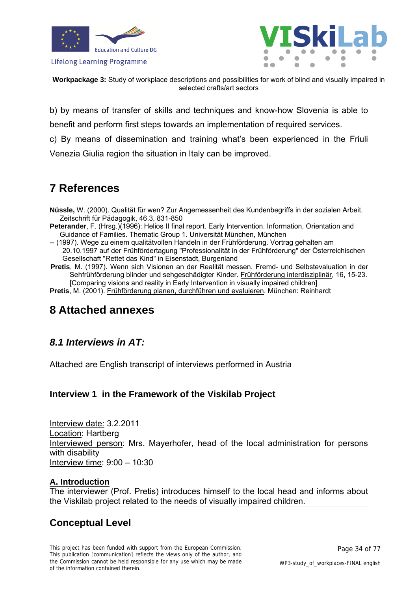



**Workpackage 3:** Study of workplace descriptions and possibilities for work of blind and visually impaired in selected crafts/art sectors

b) by means of transfer of skills and techniques and know-how Slovenia is able to

benefit and perform first steps towards an implementation of required services.

c) By means of dissemination and training what's been experienced in the Friuli

Venezia Giulia region the situation in Italy can be improved.

### <span id="page-33-0"></span>**7 References**

- **Nüssle,** W. (2000). Qualität für wen? Zur Angemessenheit des Kundenbegriffs in der sozialen Arbeit. Zeitschrift für Pädagogik, 46.3, 831-850
- Peterander, F. (Hrsg.)(1996): Helios II final report. Early Intervention. Information, Orientation and Guidance of Families. Thematic Group 1. Universität München, München
- -- (1997). Wege zu einem qualitätvollen Handeln in der Frühförderung. Vortrag gehalten am 20.10.1997 auf der Frühfördertagung "Professionalität in der Frühförderung" der Österreichischen Gesellschaft "Rettet das Kind" in Eisenstadt, Burgenland
- **Pretis**, M. (1997). Wenn sich Visionen an der Realität messen. Fremd- und Selbstevaluation in der Sehfrühförderung blinder und sehgeschädigter Kinder. Frühförderung interdisziplinär, 16, 15-23. [Comparing visions and reality in Early Intervention in visually impaired children]
- **Pretis**, M. (2001). Frühförderung planen, durchführen und evaluieren. München: Reinhardt

### <span id="page-33-1"></span>**8 Attached annexes**

### <span id="page-33-2"></span>*8.1 Interviews in AT:*

Attached are English transcript of interviews performed in Austria

### <span id="page-33-3"></span>**Interview 1 in the Framework of the Viskilab Project**

Interview date: 3.2.2011 Location: Hartberg Interviewed person: Mrs. Mayerhofer, head of the local administration for persons with disability Interview time: 9:00 – 10:30

### **A. Introduction**

The interviewer (Prof. Pretis) introduces himself to the local head and informs about the Viskilab project related to the needs of visually impaired children.

### **Conceptual Level**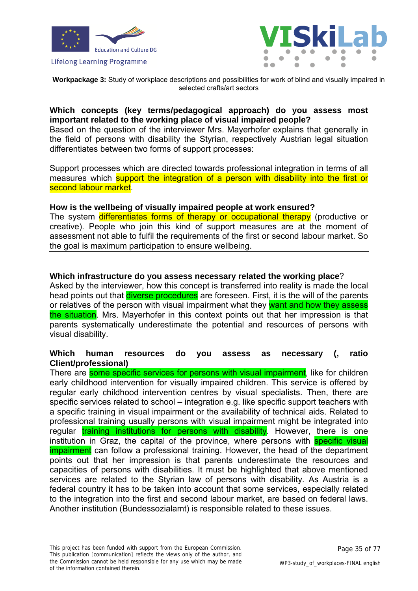



**Workpackage 3:** Study of workplace descriptions and possibilities for work of blind and visually impaired in selected crafts/art sectors

#### **Which concepts (key terms/pedagogical approach) do you assess most important related to the working place of visual impaired people?**

Based on the question of the interviewer Mrs. Mayerhofer explains that generally in the field of persons with disability the Styrian, respectively Austrian legal situation differentiates between two forms of support processes:

Support processes which are directed towards professional integration in terms of all measures which support the integration of a person with disability into the first or second labour market.

#### **How is the wellbeing of visually impaired people at work ensured?**

The system differentiates forms of therapy or occupational therapy (productive or creative). People who join this kind of support measures are at the moment of assessment not able to fulfil the requirements of the first or second labour market. So the goal is maximum participation to ensure wellbeing.

#### **Which infrastructure do you assess necessary related the working place**?

Asked by the interviewer, how this concept is transferred into reality is made the local head points out that *diverse procedures* are foreseen. First, it is the will of the parents or relatives of the person with visual impairment what they want and how they assess the situation. Mrs. Mayerhofer in this context points out that her impression is that parents systematically underestimate the potential and resources of persons with visual disability.

#### **Which human resources do you assess as necessary (, ratio Client/professional)**

There are some specific services for persons with visual impairment. like for children early childhood intervention for visually impaired children. This service is offered by regular early childhood intervention centres by visual specialists. Then, there are specific services related to school – integration e.g. like specific support teachers with a specific training in visual impairment or the availability of technical aids. Related to professional training usually persons with visual impairment might be integrated into regular training institutions for persons with disability. However, there is one institution in Graz, the capital of the province, where persons with specific visual impairment can follow a professional training. However, the head of the department points out that her impression is that parents underestimate the resources and capacities of persons with disabilities. It must be highlighted that above mentioned services are related to the Styrian law of persons with disability. As Austria is a federal country it has to be taken into account that some services, especially related to the integration into the first and second labour market, are based on federal laws. Another institution (Bundessozialamt) is responsible related to these issues.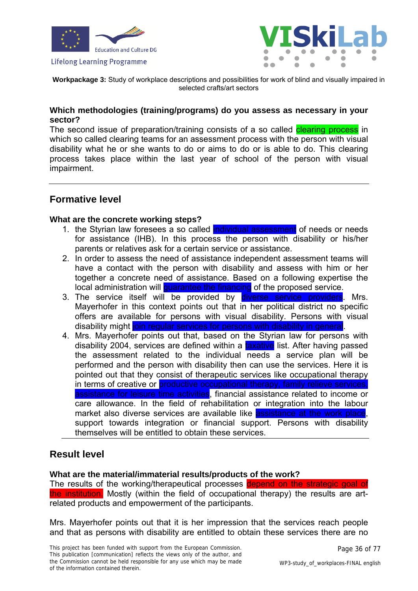



**Workpackage 3:** Study of workplace descriptions and possibilities for work of blind and visually impaired in selected crafts/art sectors

#### **Which methodologies (training/programs) do you assess as necessary in your sector?**

The second issue of preparation/training consists of a so called **clearing process** in which so called clearing teams for an assessment process with the person with visual disability what he or she wants to do or aims to do or is able to do. This clearing process takes place within the last year of school of the person with visual impairment.

### **Formative level**

#### **What are the concrete working steps?**

- 1. the Styrian law foresees a so called individual assessment of needs or needs for assistance (IHB). In this process the person with disability or his/her parents or relatives ask for a certain service or assistance.
- 2. In order to assess the need of assistance independent assessment teams will have a contact with the person with disability and assess with him or her together a concrete need of assistance. Based on a following expertise the local administration will quarantee the financing of the proposed service.
- 3. The service itself will be provided by diverse service providers. Mrs. Mayerhofer in this context points out that in her political district no specific offers are available for persons with visual disability. Persons with visual disability might join regular services for persons with disability in general.
- 4. Mrs. Mayerhofer points out that, based on the Styrian law for persons with disability 2004, services are defined within a taxative list. After having passed the assessment related to the individual needs a service plan will be performed and the person with disability then can use the services. Here it is pointed out that they consist of therapeutic services like occupational therapy in terms of creative or **productive occupational therapy, family relieve services**, assistance for leisure time activities, financial assistance related to income or care allowance. In the field of rehabilitation or integration into the labour market also diverse services are available like assistance at the work place, support towards integration or financial support. Persons with disability themselves will be entitled to obtain these services.

### **Result level**

#### **What are the material/immaterial results/products of the work?**

The results of the working/therapeutical processes depend on the strategic goal of the institution. Mostly (within the field of occupational therapy) the results are artrelated products and empowerment of the participants.

Mrs. Mayerhofer points out that it is her impression that the services reach people and that as persons with disability are entitled to obtain these services there are no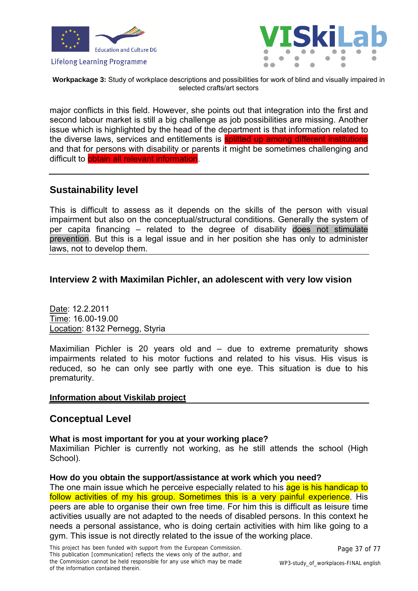



**Workpackage 3:** Study of workplace descriptions and possibilities for work of blind and visually impaired in selected crafts/art sectors

major conflicts in this field. However, she points out that integration into the first and second labour market is still a big challenge as job possibilities are missing. Another issue which is highlighted by the head of the department is that information related to the diverse laws, services and entitlements is splitted up among different institutions and that for persons with disability or parents it might be sometimes challenging and difficult to obtain all relevant information.

# **Sustainability level**

This is difficult to assess as it depends on the skills of the person with visual impairment but also on the conceptual/structural conditions. Generally the system of per capita financing – related to the degree of disability does not stimulate prevention. But this is a legal issue and in her position she has only to administer laws, not to develop them.

### **Interview 2 with Maximilan Pichler, an adolescent with very low vision**

Date: 12.2.2011 Time: 16.00-19.00 Location: 8132 Pernegg, Styria

Maximilian Pichler is 20 years old and – due to extreme prematurity shows impairments related to his motor fuctions and related to his visus. His visus is reduced, so he can only see partly with one eye. This situation is due to his prematurity.

### **Information about Viskilab project**

# **Conceptual Level**

### **What is most important for you at your working place?**

Maximilian Pichler is currently not working, as he still attends the school (High School).

### **How do you obtain the support/assistance at work which you need?**

The one main issue which he perceive especially related to his age is his handicap to follow activities of my his group. Sometimes this is a very painful experience. His peers are able to organise their own free time. For him this is difficult as leisure time activities usually are not adapted to the needs of disabled persons. In this context he needs a personal assistance, who is doing certain activities with him like going to a gym. This issue is not directly related to the issue of the working place.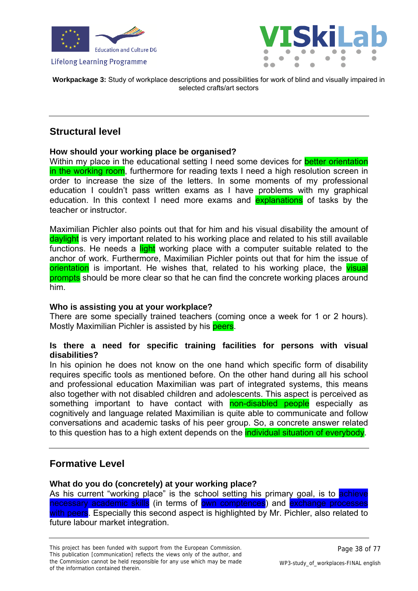



**Workpackage 3:** Study of workplace descriptions and possibilities for work of blind and visually impaired in selected crafts/art sectors

# **Structural level**

### **How should your working place be organised?**

Within my place in the educational setting I need some devices for **better orientation** in the working room, furthermore for reading texts I need a high resolution screen in order to increase the size of the letters. In some moments of my professional education I couldn't pass written exams as I have problems with my graphical education. In this context I need more exams and explanations of tasks by the teacher or instructor.

Maximilian Pichler also points out that for him and his visual disability the amount of daylight is very important related to his working place and related to his still available functions. He needs a light working place with a computer suitable related to the anchor of work. Furthermore, Maximilian Pichler points out that for him the issue of orientation is important. He wishes that, related to his working place, the visual prompts should be more clear so that he can find the concrete working places around him.

### **Who is assisting you at your workplace?**

There are some specially trained teachers (coming once a week for 1 or 2 hours). Mostly Maximilian Pichler is assisted by his peers.

### **Is there a need for specific training facilities for persons with visual disabilities?**

In his opinion he does not know on the one hand which specific form of disability requires specific tools as mentioned before. On the other hand during all his school and professional education Maximilian was part of integrated systems, this means also together with not disabled children and adolescents. This aspect is perceived as something important to have contact with non-disabled people especially as cognitively and language related Maximilian is quite able to communicate and follow conversations and academic tasks of his peer group. So, a concrete answer related to this question has to a high extent depends on the **individual situation of everybody**.

# **Formative Level**

### **What do you do (concretely) at your working place?**

As his current "working place" is the school setting his primary goal, is to achieve necessary academic skills (in terms of own comptences) and exchange processes with peers. Especially this second aspect is highlighted by Mr. Pichler, also related to future labour market integration.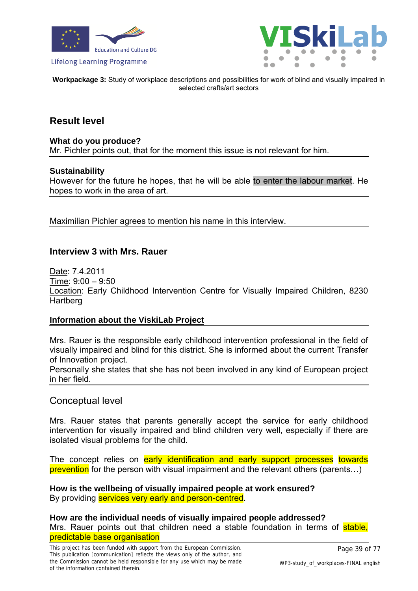



**Workpackage 3:** Study of workplace descriptions and possibilities for work of blind and visually impaired in selected crafts/art sectors

### **Result level**

#### **What do you produce?**

Mr. Pichler points out, that for the moment this issue is not relevant for him.

#### **Sustainability**

However for the future he hopes, that he will be able to enter the labour market. He hopes to work in the area of art.

Maximilian Pichler agrees to mention his name in this interview.

### **Interview 3 with Mrs. Rauer**

Date: 7.4.2011 Time: 9:00 – 9:50 Location: Early Childhood Intervention Centre for Visually Impaired Children, 8230 Hartberg

#### **Information about the ViskiLab Project**

Mrs. Rauer is the responsible early childhood intervention professional in the field of visually impaired and blind for this district. She is informed about the current Transfer of Innovation project.

Personally she states that she has not been involved in any kind of European project in her field.

#### Conceptual level

Mrs. Rauer states that parents generally accept the service for early childhood intervention for visually impaired and blind children very well, especially if there are isolated visual problems for the child.

The concept relies on early identification and early support processes towards prevention for the person with visual impairment and the relevant others (parents…)

**How is the wellbeing of visually impaired people at work ensured?**  By providing services very early and person-centred.

**How are the individual needs of visually impaired people addressed?**  Mrs. Rauer points out that children need a stable foundation in terms of stable. predictable base organisation

Page 39 of 77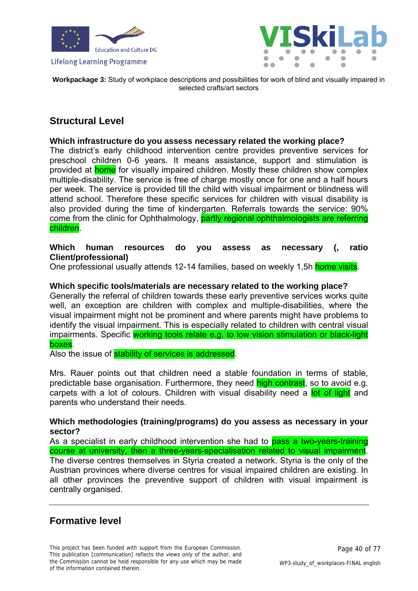



**Workpackage 3:** Study of workplace descriptions and possibilities for work of blind and visually impaired in selected crafts/art sectors

# **Structural Level**

#### **Which infrastructure do you assess necessary related the working place?**

The district's early childhood intervention centre provides preventive services for preschool children 0-6 years. It means assistance, support and stimulation is provided at **home** for visually impaired children. Mostly these children show complex multiple-disability. The service is free of charge mostly once for one and a half hours per week. The service is provided till the child with visual impairment or blindness will attend school. Therefore these specific services for children with visual disability is also provided during the time of kindergarten. Referrals towards the service: 90% come from the clinic for Ophthalmology, partly regional ophthalmologists are referring children.

#### **Which human resources do you assess as necessary (, ratio Client/professional)**

One professional usually attends 12-14 families, based on weekly 1,5h home visits.

#### **Which specific tools/materials are necessary related to the working place?**

Generally the referral of children towards these early preventive services works quite well, an exception are children with complex and multiple-disabilities, where the visual impairment might not be prominent and where parents might have problems to identify the visual impairment. This is especially related to children with central visual impairments. Specific working tools relate e.g. to low vision stimulation or black-light boxes.

Also the issue of **stability of services is addressed**.

Mrs. Rauer points out that children need a stable foundation in terms of stable, predictable base organisation. Furthermore, they need high contrast, so to avoid e.g. carpets with a lot of colours. Children with visual disability need a lot of light and parents who understand their needs.

#### **Which methodologies (training/programs) do you assess as necessary in your sector?**

As a specialist in early childhood intervention she had to **pass a two-years-training** course at university, then a three-years-specialisation related to visual impairment. The diverse centres themselves in Styria created a network. Styria is the only of the Austrian provinces where diverse centres for visual impaired children are existing. In all other provinces the preventive support of children with visual impairment is centrally organised.

# **Formative level**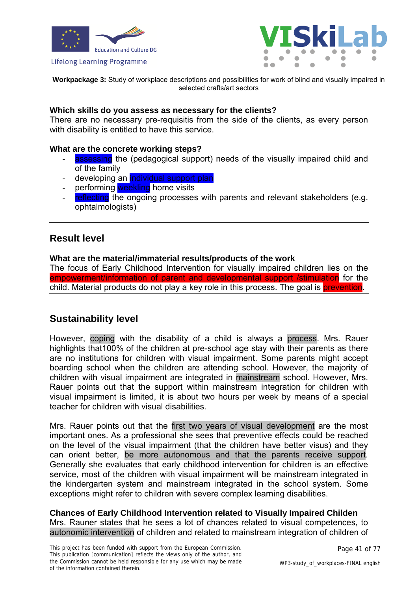



**Workpackage 3:** Study of workplace descriptions and possibilities for work of blind and visually impaired in selected crafts/art sectors

#### **Which skills do you assess as necessary for the clients?**

There are no necessary pre-requisitis from the side of the clients, as every person with disability is entitled to have this service.

#### **What are the concrete working steps?**

- assessing the (pedagogical support) needs of the visually impaired child and of the family
- developing an **individual support plan**
- performing weekling home visits
- reflecting the ongoing processes with parents and relevant stakeholders (e.g. ophtalmologists)

# **Result level**

#### **What are the material/immaterial results/products of the work**

The focus of Early Childhood Intervention for visually impaired children lies on the empowerment/information of parent and developmental support /stimulation for the child. Material products do not play a key role in this process. The goal is prevention.

# **Sustainability level**

However, coping with the disability of a child is always a process. Mrs. Rauer highlights that100% of the children at pre-school age stay with their parents as there are no institutions for children with visual impairment. Some parents might accept boarding school when the children are attending school. However, the majority of children with visual impairment are integrated in mainstream school. However, Mrs. Rauer points out that the support within mainstream integration for children with visual impairment is limited, it is about two hours per week by means of a special teacher for children with visual disabilities.

Mrs. Rauer points out that the first two years of visual development are the most important ones. As a professional she sees that preventive effects could be reached on the level of the visual impairment (that the children have better visus) and they can orient better, be more autonomous and that the parents receive support. Generally she evaluates that early childhood intervention for children is an effective service, most of the children with visual impairment will be mainstream integrated in the kindergarten system and mainstream integrated in the school system. Some exceptions might refer to children with severe complex learning disabilities.

**Chances of Early Childhood Intervention related to Visually Impaired Childen**  Mrs. Rauner states that he sees a lot of chances related to visual competences, to autonomic intervention of children and related to mainstream integration of children of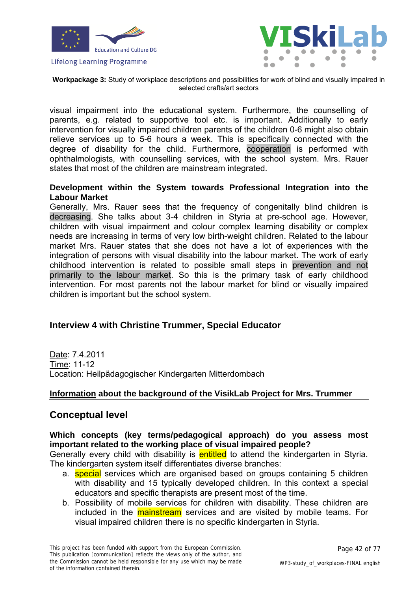



**Workpackage 3:** Study of workplace descriptions and possibilities for work of blind and visually impaired in selected crafts/art sectors

visual impairment into the educational system. Furthermore, the counselling of parents, e.g. related to supportive tool etc. is important. Additionally to early intervention for visually impaired children parents of the children 0-6 might also obtain relieve services up to 5-6 hours a week. This is specifically connected with the degree of disability for the child. Furthermore, cooperation is performed with ophthalmologists, with counselling services, with the school system. Mrs. Rauer states that most of the children are mainstream integrated.

### **Development within the System towards Professional Integration into the Labour Market**

Generally, Mrs. Rauer sees that the frequency of congenitally blind children is decreasing. She talks about 3-4 children in Styria at pre-school age. However, children with visual impairment and colour complex learning disability or complex needs are increasing in terms of very low birth-weight children. Related to the labour market Mrs. Rauer states that she does not have a lot of experiences with the integration of persons with visual disability into the labour market. The work of early childhood intervention is related to possible small steps in prevention and not primarily to the labour market. So this is the primary task of early childhood intervention. For most parents not the labour market for blind or visually impaired children is important but the school system.

### **Interview 4 with Christine Trummer, Special Educator**

Date: 7.4.2011 Time: 11-12 Location: Heilpädagogischer Kindergarten Mitterdombach

#### **Information about the background of the VisikLab Project for Mrs. Trummer**

# **Conceptual level**

#### **Which concepts (key terms/pedagogical approach) do you assess most important related to the working place of visual impaired people?**

Generally every child with disability is **entitled** to attend the kindergarten in Styria. The kindergarten system itself differentiates diverse branches:

- a. **special** services which are organised based on groups containing 5 children with disability and 15 typically developed children. In this context a special educators and specific therapists are present most of the time.
- b. Possibility of mobile services for children with disability. These children are included in the **mainstream** services and are visited by mobile teams. For visual impaired children there is no specific kindergarten in Styria.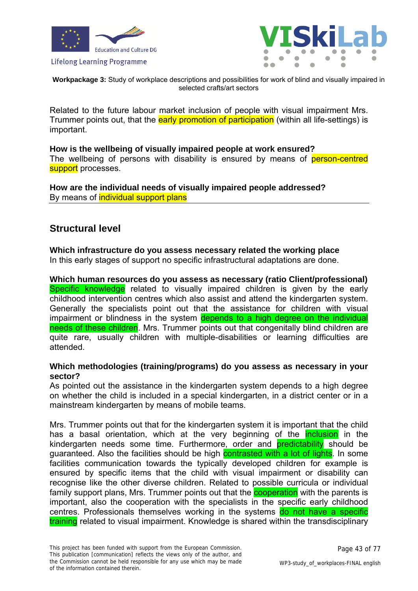



**Workpackage 3:** Study of workplace descriptions and possibilities for work of blind and visually impaired in selected crafts/art sectors

Related to the future labour market inclusion of people with visual impairment Mrs. Trummer points out, that the **early promotion of participation** (within all life-settings) is important.

**How is the wellbeing of visually impaired people at work ensured?**  The wellbeing of persons with disability is ensured by means of person-centred support processes.

**How are the individual needs of visually impaired people addressed?**  By means of **individual support plans** 

# **Structural level**

# **Which infrastructure do you assess necessary related the working place**

In this early stages of support no specific infrastructural adaptations are done.

**Which human resources do you assess as necessary (ratio Client/professional)**  Specific knowledge related to visually impaired children is given by the early childhood intervention centres which also assist and attend the kindergarten system. Generally the specialists point out that the assistance for children with visual impairment or blindness in the system depends to a high degree on the individual needs of these children. Mrs. Trummer points out that congenitally blind children are quite rare, usually children with multiple-disabilities or learning difficulties are attended.

### **Which methodologies (training/programs) do you assess as necessary in your sector?**

As pointed out the assistance in the kindergarten system depends to a high degree on whether the child is included in a special kindergarten, in a district center or in a mainstream kindergarten by means of mobile teams.

Mrs. Trummer points out that for the kindergarten system it is important that the child has a basal orientation, which at the very beginning of the **inclusion** in the kindergarten needs some time. Furthermore, order and **predictability** should be guaranteed. Also the facilities should be high contrasted with a lot of lights. In some facilities communication towards the typically developed children for example is ensured by specific items that the child with visual impairment or disability can recognise like the other diverse children. Related to possible curricula or individual family support plans, Mrs. Trummer points out that the **cooperation** with the parents is important, also the cooperation with the specialists in the specific early childhood centres. Professionals themselves working in the systems do not have a specific training related to visual impairment. Knowledge is shared within the transdisciplinary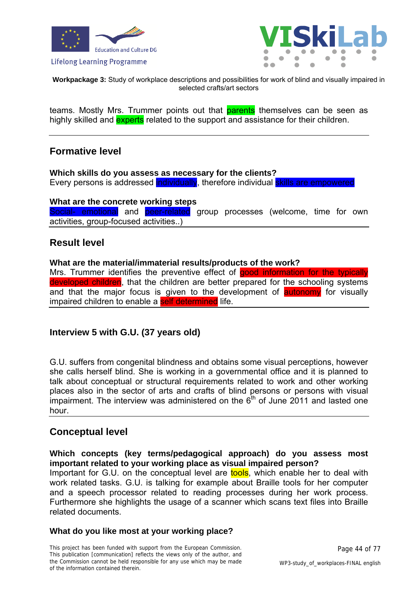



**Workpackage 3:** Study of workplace descriptions and possibilities for work of blind and visually impaired in selected crafts/art sectors

teams. Mostly Mrs. Trummer points out that **parents** themselves can be seen as highly skilled and **experts** related to the support and assistance for their children.

# **Formative level**

**Which skills do you assess as necessary for the clients?**  Every persons is addressed individually, therefore individual skills are empowered

#### **What are the concrete working steps**

Social- emotional and peer-related group processes (welcome, time for own activities, group-focused activities..)

# **Result level**

#### **What are the material/immaterial results/products of the work?**

Mrs. Trummer identifies the preventive effect of good information for the typically developed children, that the children are better prepared for the schooling systems and that the major focus is given to the development of **autonomy** for visually impaired children to enable a self determined life.

### **Interview 5 with G.U. (37 years old)**

G.U. suffers from congenital blindness and obtains some visual perceptions, however she calls herself blind. She is working in a governmental office and it is planned to talk about conceptual or structural requirements related to work and other working places also in the sector of arts and crafts of blind persons or persons with visual impairment. The interview was administered on the  $6<sup>th</sup>$  of June 2011 and lasted one hour.

### **Conceptual level**

#### **Which concepts (key terms/pedagogical approach) do you assess most important related to your working place as visual impaired person?**

Important for G.U. on the conceptual level are tools, which enable her to deal with work related tasks. G.U. is talking for example about Braille tools for her computer and a speech processor related to reading processes during her work process. Furthermore she highlights the usage of a scanner which scans text files into Braille related documents.

#### **What do you like most at your working place?**

This project has been funded with support from the European Commission. This publication [communication] reflects the views only of the author, and the Commission cannot be held responsible for any use which may be made of the information contained therein.

Page 44 of 77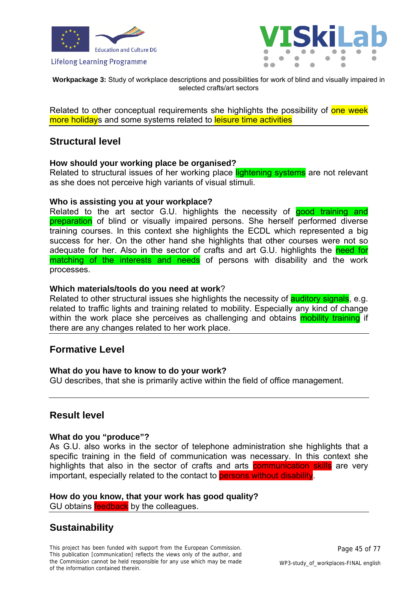



**Workpackage 3:** Study of workplace descriptions and possibilities for work of blind and visually impaired in selected crafts/art sectors

Related to other conceptual requirements she highlights the possibility of one week more holidays and some systems related to leisure time activities

# **Structural level**

#### **How should your working place be organised?**

Related to structural issues of her working place lightening systems are not relevant as she does not perceive high variants of visual stimuli.

#### **Who is assisting you at your workplace?**

Related to the art sector G.U. highlights the necessity of **good training and preparation** of blind or visually impaired persons. She herself performed diverse training courses. In this context she highlights the ECDL which represented a big success for her. On the other hand she highlights that other courses were not so adequate for her. Also in the sector of crafts and art G.U. highlights the need for matching of the interests and needs of persons with disability and the work processes.

#### **Which materials/tools do you need at work**?

Related to other structural issues she highlights the necessity of **auditory signals**, e.g. related to traffic lights and training related to mobility. Especially any kind of change within the work place she perceives as challenging and obtains **mobility training** if there are any changes related to her work place.

### **Formative Level**

#### **What do you have to know to do your work?**

GU describes, that she is primarily active within the field of office management.

# **Result level**

#### **What do you "produce"?**

As G.U. also works in the sector of telephone administration she highlights that a specific training in the field of communication was necessary. In this context she highlights that also in the sector of crafts and arts **communication skills** are very important, especially related to the contact to **persons without disability**.

#### **How do you know, that your work has good quality?**  GU obtains **feedback** by the colleagues.

# **Sustainability**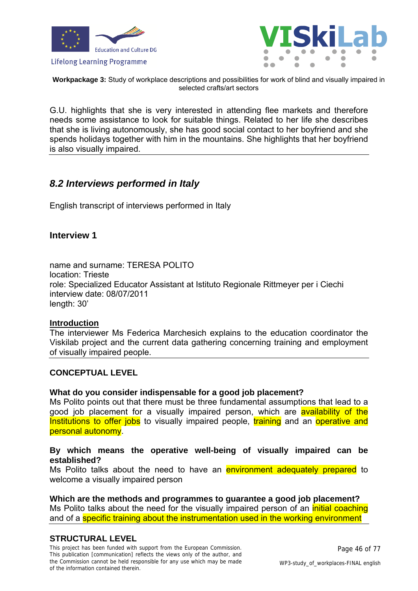



**Workpackage 3:** Study of workplace descriptions and possibilities for work of blind and visually impaired in selected crafts/art sectors

G.U. highlights that she is very interested in attending flee markets and therefore needs some assistance to look for suitable things. Related to her life she describes that she is living autonomously, she has good social contact to her boyfriend and she spends holidays together with him in the mountains. She highlights that her boyfriend is also visually impaired.

# *8.2 Interviews performed in Italy*

English transcript of interviews performed in Italy

### **Interview 1**

name and surname: TERESA POI ITO location: Trieste role: Specialized Educator Assistant at Istituto Regionale Rittmeyer per i Ciechi interview date: 08/07/2011 length: 30'

#### **Introduction**

The interviewer Ms Federica Marchesich explains to the education coordinator the Viskilab project and the current data gathering concerning training and employment of visually impaired people.

#### **CONCEPTUAL LEVEL**

#### **What do you consider indispensable for a good job placement?**

Ms Polito points out that there must be three fundamental assumptions that lead to a good job placement for a visually impaired person, which are **availability of the** Institutions to offer jobs to visually impaired people, training and an operative and personal autonomy.

#### **By which means the operative well-being of visually impaired can be established?**

Ms Polito talks about the need to have an environment adequately prepared to welcome a visually impaired person

### **Which are the methods and programmes to guarantee a good job placement?**

Ms Polito talks about the need for the visually impaired person of an *initial coaching* and of a specific training about the instrumentation used in the working environment

### **STRUCTURAL LEVEL**

This project has been funded with support from the European Commission. This publication [communication] reflects the views only of the author, and the Commission cannot be held responsible for any use which may be made of the information contained therein.

Page 46 of 77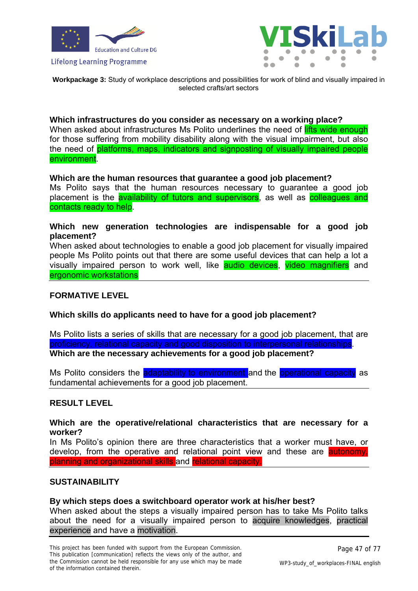



**Workpackage 3:** Study of workplace descriptions and possibilities for work of blind and visually impaired in selected crafts/art sectors

#### **Which infrastructures do you consider as necessary on a working place?**

When asked about infrastructures Ms Polito underlines the need of lifts wide enough for those suffering from mobility disability along with the visual impairment, but also the need of platforms, maps, indicators and signposting of visually impaired people environment.

#### **Which are the human resources that guarantee a good job placement?**

Ms Polito says that the human resources necessary to guarantee a good job placement is the **availability of tutors and supervisors**, as well as **colleagues and** contacts ready to help.

#### **Which new generation technologies are indispensable for a good job placement?**

When asked about technologies to enable a good job placement for visually impaired people Ms Polito points out that there are some useful devices that can help a lot a visually impaired person to work well, like audio devices, video magnifiers and ergonomic workstations

### **FORMATIVE LEVEL**

#### **Which skills do applicants need to have for a good job placement?**

Ms Polito lists a series of skills that are necessary for a good job placement, that are proficiency, relational capacity and good disposition to interpersonal relationships. **Which are the necessary achievements for a good job placement?** 

Ms Polito considers the adaptability to environment and the operational capacity as fundamental achievements for a good job placement.

#### **RESULT LEVEL**

#### **Which are the operative/relational characteristics that are necessary for a worker?**

In Ms Polito's opinion there are three characteristics that a worker must have, or develop, from the operative and relational point view and these are **autonomy**, planning and organizational skills and relational capacity.

#### **SUSTAINABILITY**

#### **By which steps does a switchboard operator work at his/her best?**

When asked about the steps a visually impaired person has to take Ms Polito talks about the need for a visually impaired person to acquire knowledges, practical experience and have a motivation.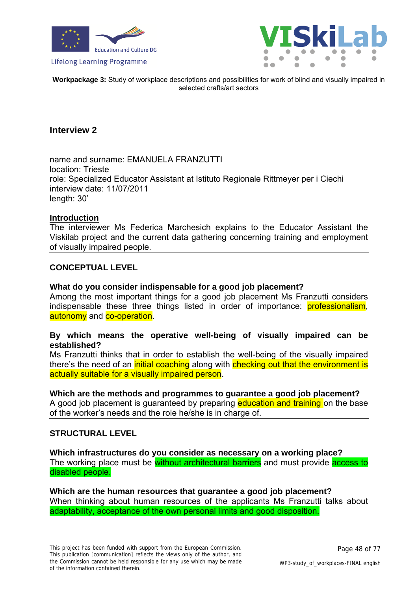



**Workpackage 3:** Study of workplace descriptions and possibilities for work of blind and visually impaired in selected crafts/art sectors

### **Interview 2**

name and surname: EMANUELA FRANZUTTI location: Trieste role: Specialized Educator Assistant at Istituto Regionale Rittmeyer per i Ciechi interview date: 11/07/2011 length: 30'

#### **Introduction**

The interviewer Ms Federica Marchesich explains to the Educator Assistant the Viskilab project and the current data gathering concerning training and employment of visually impaired people.

#### **CONCEPTUAL LEVEL**

#### **What do you consider indispensable for a good job placement?**

Among the most important things for a good job placement Ms Franzutti considers indispensable these three things listed in order of importance: **professionalism**, autonomy and co-operation.

### **By which means the operative well-being of visually impaired can be established?**

Ms Franzutti thinks that in order to establish the well-being of the visually impaired there's the need of an *initial coaching* along with **checking out that the environment is** actually suitable for a visually impaired person.

#### **Which are the methods and programmes to guarantee a good job placement?**

A good job placement is guaranteed by preparing **education and training** on the base of the worker's needs and the role he/she is in charge of.

#### **STRUCTURAL LEVEL**

**Which infrastructures do you consider as necessary on a working place?**  The working place must be without architectural barriers and must provide access to disabled people.

**Which are the human resources that guarantee a good job placement?**  When thinking about human resources of the applicants Ms Franzutti talks about adaptability, acceptance of the own personal limits and good disposition.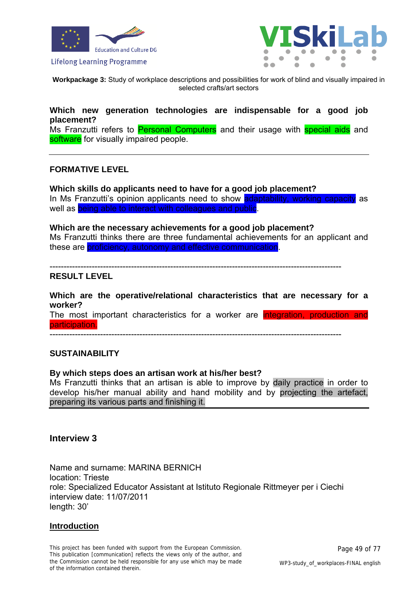



**Workpackage 3:** Study of workplace descriptions and possibilities for work of blind and visually impaired in selected crafts/art sectors

### **Which new generation technologies are indispensable for a good job placement?**

Ms Franzutti refers to Personal Computers and their usage with special aids and software for visually impaired people.

#### **FORMATIVE LEVEL**

**Which skills do applicants need to have for a good job placement?**  In Ms Franzutti's opinion applicants need to show adaptability, working capacity as well as being able to interact with colleagues and public.

# **Which are the necessary achievements for a good job placement?**

Ms Franzutti thinks there are three fundamental achievements for an applicant and these are proficiency, autonomy and effective communication.

--------------------------------------------------------------------------------------------------------

### **RESULT LEVEL**

**Which are the operative/relational characteristics that are necessary for a worker?**  The most important characteristics for a worker are integration, production and

participation. --------------------------------------------------------------------------------------------------------

#### **SUSTAINABILITY**

#### **By which steps does an artisan work at his/her best?**

Ms Franzutti thinks that an artisan is able to improve by daily practice in order to develop his/her manual ability and hand mobility and by projecting the artefact, preparing its various parts and finishing it.

#### **Interview 3**

Name and surname: MARINA BERNICH location: Trieste role: Specialized Educator Assistant at Istituto Regionale Rittmeyer per i Ciechi interview date: 11/07/2011 length: 30'

#### **Introduction**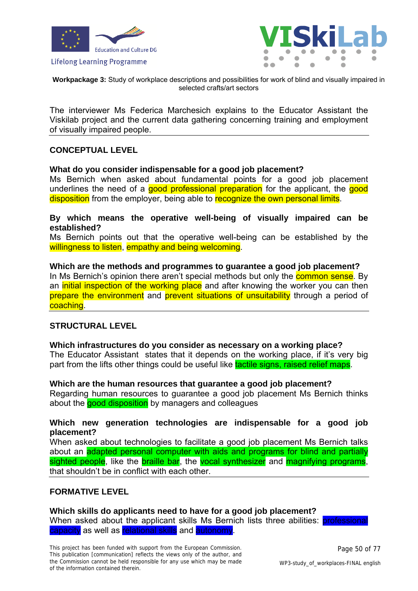



**Workpackage 3:** Study of workplace descriptions and possibilities for work of blind and visually impaired in selected crafts/art sectors

The interviewer Ms Federica Marchesich explains to the Educator Assistant the Viskilab project and the current data gathering concerning training and employment of visually impaired people.

### **CONCEPTUAL LEVEL**

#### **What do you consider indispensable for a good job placement?**

Ms Bernich when asked about fundamental points for a good job placement underlines the need of a good professional preparation for the applicant, the good disposition from the employer, being able to recognize the own personal limits.

#### **By which means the operative well-being of visually impaired can be established?**

Ms Bernich points out that the operative well-being can be established by the willingness to listen, empathy and being welcoming.

**Which are the methods and programmes to guarantee a good job placement?**  In Ms Bernich's opinion there aren't special methods but only the **common sense**. By an initial inspection of the working place and after knowing the worker you can then prepare the environment and prevent situations of unsuitability through a period of coaching.

#### **STRUCTURAL LEVEL**

# **Which infrastructures do you consider as necessary on a working place?**

The Educator Assistant states that it depends on the working place, if it's very big part from the lifts other things could be useful like tactile signs, raised relief maps.

#### **Which are the human resources that guarantee a good job placement?**

Regarding human resources to guarantee a good job placement Ms Bernich thinks about the good disposition by managers and colleagues

### **Which new generation technologies are indispensable for a good job placement?**

When asked about technologies to facilitate a good job placement Ms Bernich talks about an adapted personal computer with aids and programs for blind and partially sighted people, like the braille bar, the vocal synthesizer and magnifying programs, that shouldn't be in conflict with each other.

### **FORMATIVE LEVEL**

#### **Which skills do applicants need to have for a good job placement?**

When asked about the applicant skills Ms Bernich lists three abilities: professional capacity as well as relational skills and autonomy.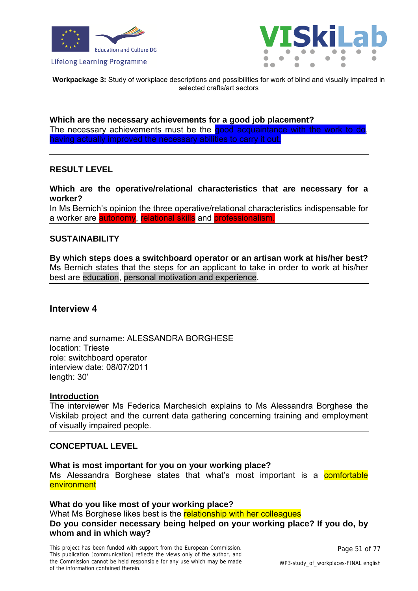



**Workpackage 3:** Study of workplace descriptions and possibilities for work of blind and visually impaired in selected crafts/art sectors

**Which are the necessary achievements for a good job placement?**  The necessary achievements must be the good acquaintance with the work to do, having actually improved the necessary abilities to carry it out.

#### **RESULT LEVEL**

**Which are the operative/relational characteristics that are necessary for a worker?** 

In Ms Bernich's opinion the three operative/relational characteristics indispensable for a worker are **autonomy**, relational skills and professionalism

#### **SUSTAINABILITY**

**By which steps does a switchboard operator or an artisan work at his/her best?**  Ms Bernich states that the steps for an applicant to take in order to work at his/her best are education, personal motivation and experience.

#### **Interview 4**

name and surname: ALESSANDRA BORGHESE location: Trieste role: switchboard operator interview date: 08/07/2011 length: 30'

#### **Introduction**

The interviewer Ms Federica Marchesich explains to Ms Alessandra Borghese the Viskilab project and the current data gathering concerning training and employment of visually impaired people.

#### **CONCEPTUAL LEVEL**

**What is most important for you on your working place?**  Ms Alessandra Borghese states that what's most important is a **comfortable** environment

**What do you like most of your working place?**  What Ms Borghese likes best is the relationship with her colleagues **Do you consider necessary being helped on your working place? If you do, by whom and in which way?**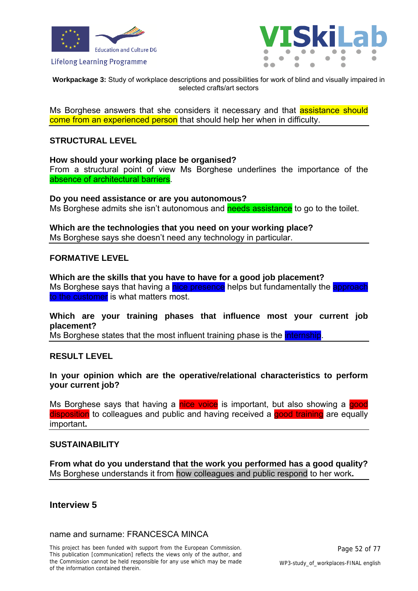



**Workpackage 3:** Study of workplace descriptions and possibilities for work of blind and visually impaired in selected crafts/art sectors

Ms Borghese answers that she considers it necessary and that **assistance should** come from an experienced person that should help her when in difficulty.

### **STRUCTURAL LEVEL**

#### **How should your working place be organised?**

From a structural point of view Ms Borghese underlines the importance of the absence of architectural barriers.

#### **Do you need assistance or are you autonomous?**  Ms Borghese admits she isn't autonomous and needs assistance to go to the toilet.

**Which are the technologies that you need on your working place?**  Ms Borghese says she doesn't need any technology in particular.

#### **FORMATIVE LEVEL**

**Which are the skills that you have to have for a good job placement?**  Ms Borghese says that having a nice presence helps but fundamentally the approach to the customer is what matters most.

### **Which are your training phases that influence most your current job placement?**

Ms Borghese states that the most influent training phase is the *internship*.

#### **RESULT LEVEL**

#### **In your opinion which are the operative/relational characteristics to perform your current job?**

Ms Borghese says that having a nice voice is important, but also showing a good disposition to colleagues and public and having received a good training are equally important**.** 

#### **SUSTAINABILITY**

**From what do you understand that the work you performed has a good quality?**  Ms Borghese understands it from how colleagues and public respond to her work**.** 

### **Interview 5**

#### name and surname: FRANCESCA MINCA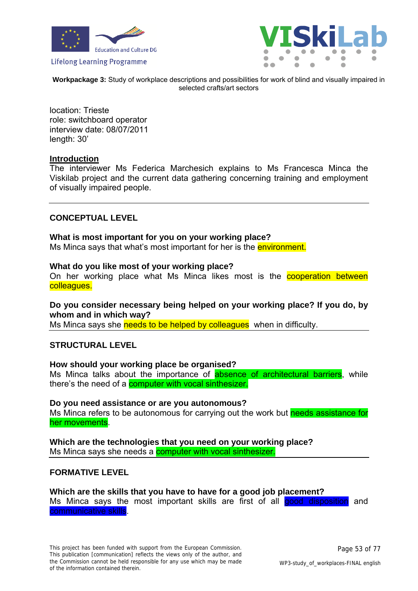



**Workpackage 3:** Study of workplace descriptions and possibilities for work of blind and visually impaired in selected crafts/art sectors

location: Trieste role: switchboard operator interview date: 08/07/2011 length: 30'

#### **Introduction**

The interviewer Ms Federica Marchesich explains to Ms Francesca Minca the Viskilab project and the current data gathering concerning training and employment of visually impaired people.

#### **CONCEPTUAL LEVEL**

#### **What is most important for you on your working place?**

Ms Minca says that what's most important for her is the environment.

#### **What do you like most of your working place?**

On her working place what Ms Minca likes most is the **cooperation between** colleagues.

### **Do you consider necessary being helped on your working place? If you do, by whom and in which way?**

Ms Minca says she needs to be helped by colleagues when in difficulty.

#### **STRUCTURAL LEVEL**

#### **How should your working place be organised?**

Ms Minca talks about the importance of **absence of architectural barriers**, while there's the need of a computer with vocal sinthesizer.

#### **Do you need assistance or are you autonomous?**

Ms Minca refers to be autonomous for carrying out the work but needs assistance for her movements.

**Which are the technologies that you need on your working place?**  Ms Minca says she needs a **computer with vocal sinthesizer.** 

#### **FORMATIVE LEVEL**

#### **Which are the skills that you have to have for a good job placement?**  Ms Minca says the most important skills are first of all good disposition and communicative skills.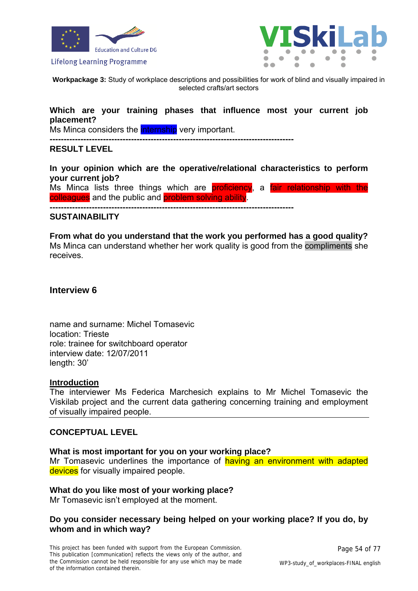



**Workpackage 3:** Study of workplace descriptions and possibilities for work of blind and visually impaired in selected crafts/art sectors

### **Which are your training phases that influence most your current job placement?**

Ms Minca considers the **internship** very important.

**---------------------------------------------------------------------------------------** 

#### **RESULT LEVEL**

**In your opinion which are the operative/relational characteristics to perform your current job?** 

Ms Minca lists three things which are **proficiency**, a fair relationship with the colleagues and the public and problem solving ability.

**---------------------------------------------------------------------------------------** 

#### **SUSTAINABILITY**

**From what do you understand that the work you performed has a good quality?**  Ms Minca can understand whether her work quality is good from the compliments she receives.

#### **Interview 6**

name and surname: Michel Tomasevic location: Trieste role: trainee for switchboard operator interview date: 12/07/2011 length: 30'

#### **Introduction**

The interviewer Ms Federica Marchesich explains to Mr Michel Tomasevic the Viskilab project and the current data gathering concerning training and employment of visually impaired people.

#### **CONCEPTUAL LEVEL**

#### **What is most important for you on your working place?**

Mr Tomasevic underlines the importance of having an environment with adapted devices for visually impaired people.

#### **What do you like most of your working place?**

Mr Tomasevic isn't employed at the moment.

#### **Do you consider necessary being helped on your working place? If you do, by whom and in which way?**

This project has been funded with support from the European Commission. This publication [communication] reflects the views only of the author, and the Commission cannot be held responsible for any use which may be made of the information contained therein.

Page 54 of 77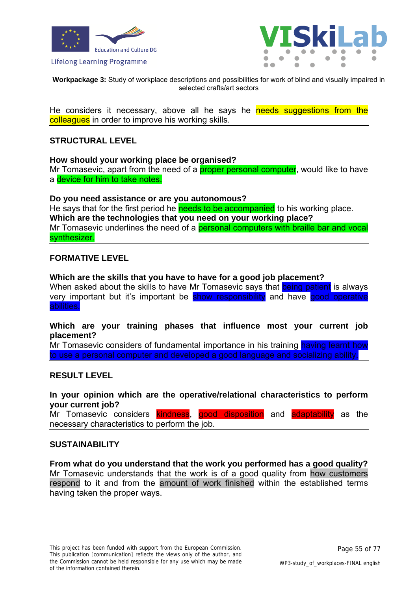



**Workpackage 3:** Study of workplace descriptions and possibilities for work of blind and visually impaired in selected crafts/art sectors

He considers it necessary, above all he says he needs suggestions from the colleagues in order to improve his working skills.

### **STRUCTURAL LEVEL**

**How should your working place be organised?** 

Mr Tomasevic, apart from the need of a **proper personal computer**, would like to have a device for him to take notes.

**Do you need assistance or are you autonomous?** 

He says that for the first period he needs to be accompanied to his working place. **Which are the technologies that you need on your working place?**  Mr Tomasevic underlines the need of a **personal computers with braille bar and vocal** synthesizer.

#### **FORMATIVE LEVEL**

**Which are the skills that you have to have for a good job placement?** 

When asked about the skills to have Mr Tomasevic says that being patient is always very important but it's important be show responsibility and have good operative abilities.

**Which are your training phases that influence most your current job placement?** 

Mr Tomasevic considers of fundamental importance in his training having learnt how to use a personal computer and developed a good language and socializing ability.

#### **RESULT LEVEL**

**In your opinion which are the operative/relational characteristics to perform your current job?** 

Mr Tomasevic considers kindness, good disposition and adaptability as the necessary characteristics to perform the job.

#### **SUSTAINABILITY**

**From what do you understand that the work you performed has a good quality?**  Mr Tomasevic understands that the work is of a good quality from how customers respond to it and from the amount of work finished within the established terms having taken the proper ways.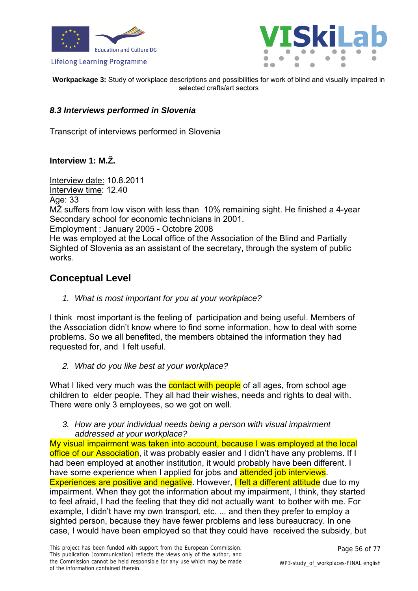



**Workpackage 3:** Study of workplace descriptions and possibilities for work of blind and visually impaired in selected crafts/art sectors

### *8.3 Interviews performed in Slovenia*

Transcript of interviews performed in Slovenia

### **Interview 1: M.Ž.**

Interview date: 10.8.2011 Interview time: 12.40 Age: 33 MŽ suffers from low vison with less than 10% remaining sight. He finished a 4-year Secondary school for economic technicians in 2001. Employment : January 2005 - Octobre 2008 He was employed at the Local office of the Association of the Blind and Partially Sighted of Slovenia as an assistant of the secretary, through the system of public works.

# **Conceptual Level**

*1. What is most important for you at your workplace?* 

I think most important is the feeling of participation and being useful. Members of the Association didn't know where to find some information, how to deal with some problems. So we all benefited, the members obtained the information they had requested for, and I felt useful.

*2. What do you like best at your workplace?* 

What I liked very much was the **contact with people** of all ages, from school age children to elder people. They all had their wishes, needs and rights to deal with. There were only 3 employees, so we got on well.

*3. How are your individual needs being a person with visual impairment addressed at your workplace?* 

My visual impairment was taken into account, because I was employed at the local office of our Association, it was probably easier and I didn't have any problems. If I had been employed at another institution, it would probably have been different. I have some experience when I applied for jobs and **attended job interviews**. Experiences are positive and negative. However, I felt a different attitude due to my impairment. When they got the information about my impairment, I think, they started to feel afraid, I had the feeling that they did not actually want to bother with me. For example, I didn't have my own transport, etc. ... and then they prefer to employ a sighted person, because they have fewer problems and less bureaucracy. In one case, I would have been employed so that they could have received the subsidy, but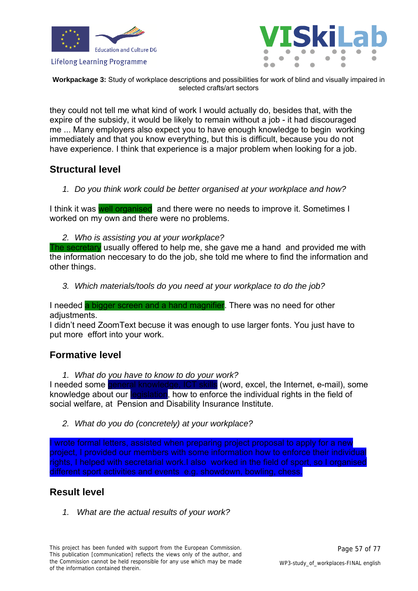





**Workpackage 3:** Study of workplace descriptions and possibilities for work of blind and visually impaired in selected crafts/art sectors

they could not tell me what kind of work I would actually do, besides that, with the expire of the subsidy, it would be likely to remain without a job - it had discouraged me ... Many employers also expect you to have enough knowledge to begin working immediately and that you know everything, but this is difficult, because you do not have experience. I think that experience is a major problem when looking for a job.

# **Structural level**

*1. Do you think work could be better organised at your workplace and how?* 

I think it was well organised and there were no needs to improve it. Sometimes I worked on my own and there were no problems.

*2. Who is assisting you at your workplace?* 

The secretary usually offered to help me, she gave me a hand and provided me with the information neccesary to do the job, she told me where to find the information and other things.

*3. Which materials/tools do you need at your workplace to do the job?* 

I needed a bigger screen and a hand magnifier. There was no need for other adjustments.

I didn't need ZoomText becuse it was enough to use larger fonts. You just have to put more effort into your work.

# **Formative level**

*1. What do you have to know to do your work?* 

I needed some general knowledge, ICT skills (word, excel, the Internet, e-mail), some knowledge about our legislation, how to enforce the individual rights in the field of social welfare, at Pension and Disability Insurance Institute.

*2. What do you do (concretely) at your workplace?* 

I wrote formal letters, assisted when preparing project proposal to apply for a new project, I provided our members with some information how to enforce their individual rights, I helped with secretarial work.I also worked in the field of sport, so I organised different sport activities and events e.g. showdown, bowling, chess.

# **Result level**

*1. What are the actual results of your work?*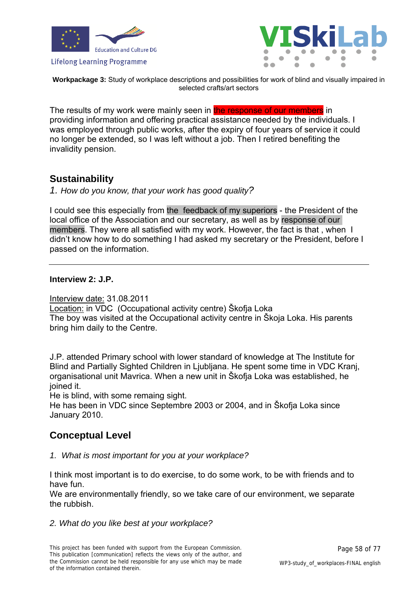



**Workpackage 3:** Study of workplace descriptions and possibilities for work of blind and visually impaired in selected crafts/art sectors

The results of my work were mainly seen in the response of our members in providing information and offering practical assistance needed by the individuals. I was employed through public works, after the expiry of four years of service it could no longer be extended, so I was left without a job. Then I retired benefiting the invalidity pension.

# **Sustainability**

*1. How do you know, that your work has good quality?* 

I could see this especially from the feedback of my superiors - the President of the local office of the Association and our secretary, as well as by response of our members. They were all satisfied with my work. However, the fact is that , when I didn't know how to do something I had asked my secretary or the President, before I passed on the information.

### **Interview 2: J.P.**

Interview date: 31.08.2011 Location: in VDC (Occupational activity centre) Škofja Loka The boy was visited at the Occupational activity centre in Škoja Loka. His parents bring him daily to the Centre.

J.P. attended Primary school with lower standard of knowledge at The Institute for Blind and Partially Sighted Children in Ljubljana. He spent some time in VDC Kranj, organisational unit Mavrica. When a new unit in Škofja Loka was established, he joined it.

He is blind, with some remaing sight.

He has been in VDC since Septembre 2003 or 2004, and in Škofja Loka since January 2010.

# **Conceptual Level**

*1. What is most important for you at your workplace?* 

I think most important is to do exercise, to do some work, to be with friends and to have fun.

We are environmentally friendly, so we take care of our environment, we separate the rubbish.

*2. What do you like best at your workplace?*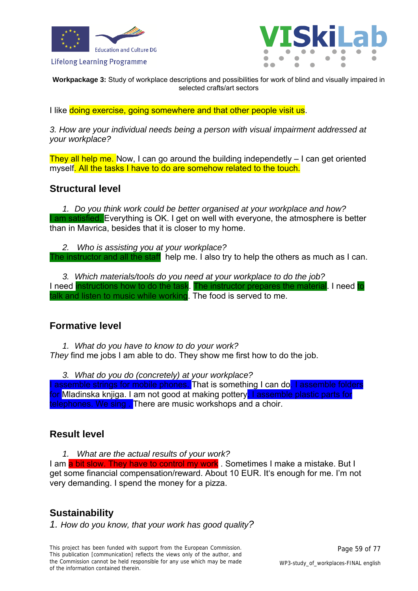



**Workpackage 3:** Study of workplace descriptions and possibilities for work of blind and visually impaired in selected crafts/art sectors

I like doing exercise, going somewhere and that other people visit us.

*3. How are your individual needs being a person with visual impairment addressed at your workplace?* 

They all help me. Now, I can go around the building independetly  $-1$  can get oriented myself. All the tasks I have to do are somehow related to the touch.

### **Structural level**

*1. Do you think work could be better organised at your workplace and how?*  I am satisfied. Everything is OK. I get on well with everyone, the atmosphere is better than in Mavrica, besides that it is closer to my home.

*2. Who is assisting you at your workplace?*  The instructor and all the staff help me. I also try to help the others as much as I can.

*3. Which materials/tools do you need at your workplace to do the job?*  I need instructions how to do the task. The instructor prepares the material. I need to talk and listen to music while working. The food is served to me.

### **Formative level**

*1. What do you have to know to do your work?* 

*They* find me jobs I am able to do. They show me first how to do the job.

*3. What do you do (concretely) at your workplace?* 

I assemble strings for mobile phones. That is something I can do. I assemble folders for Mladinska knjiga. I am not good at making pottery. I assemble plastic parts for telephones. We sing. There are music workshops and a choir.

### **Result level**

*1. What are the actual results of your work?*  I am a bit slow. They have to control my work. Sometimes I make a mistake. But I get some financial compensation/reward. About 10 EUR. It's enough for me. I'm not very demanding. I spend the money for a pizza.

# **Sustainability**

*1. How do you know, that your work has good quality?*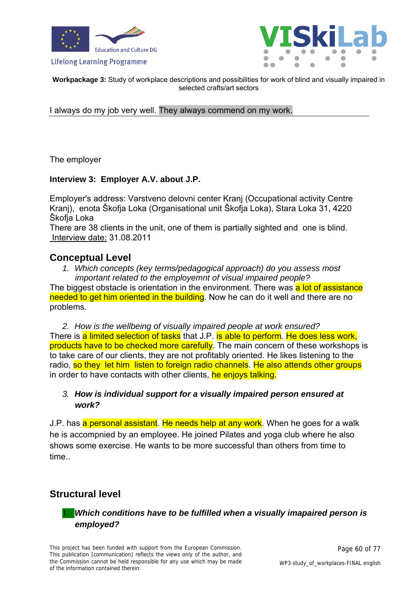



**Workpackage 3:** Study of workplace descriptions and possibilities for work of blind and visually impaired in selected crafts/art sectors

I always do my job very well. They always commend on my work.

The employer

### **Interview 3: Employer A.V. about J.P.**

Employer's address: Varstveno delovni center Kranj (Occupational activity Centre Kranj), enota Škofja Loka (Organisational unit Škofja Loka), Stara Loka 31, 4220 Škofja Loka

There are 38 clients in the unit, one of them is partially sighted and one is blind. Interview date: 31.08.2011

### **Conceptual Level**

*1. Which concepts (key terms/pedagogical approach) do you assess most important related to the employemnt of visual impaired people?* 

The biggest obstacle is orientation in the environment. There was a lot of assistance needed to get him oriented in the building. Now he can do it well and there are no problems.

*2. How is the wellbeing of visually impaired people at work ensured?*  There is a limited selection of tasks that J.P. is able to perform. He does less work, products have to be checked more carefully. The main concern of these workshops is to take care of our clients, they are not profitably oriented. He likes listening to the radio, so they let him listen to foreign radio channels. He also attends other groups in order to have contacts with other clients, he enjoys talking.

### *3. How is individual support for a visually impaired person ensured at work?*

J.P. has a personal assistant. He needs help at any work. When he goes for a walk he is accompnied by an employee. He joined Pilates and yoga club where he also shows some exercise. He wants to be more successful than others from time to time..

# **Structural level**

### 1. *Which conditions have to be fulfilled when a visually imapaired person is employed?*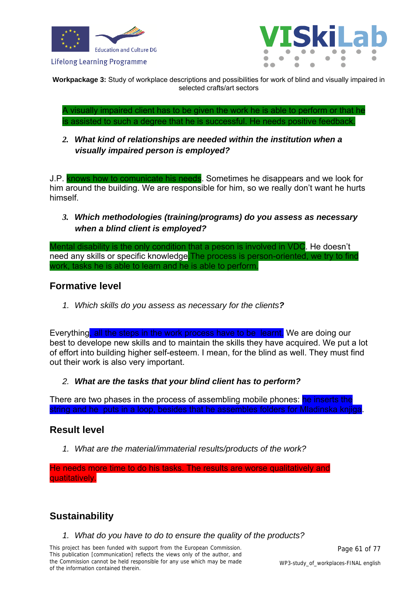



**Workpackage 3:** Study of workplace descriptions and possibilities for work of blind and visually impaired in selected crafts/art sectors

A visually impaired client has to be given the work he is able to perform or that he is assisted to such a degree that he is successful. He needs positive feedback.

*2. What kind of relationships are needed within the institution when a visually impaired person is employed?* 

J.P. knows how to comunicate his needs. Sometimes he disappears and we look for him around the building. We are responsible for him, so we really don't want he hurts himself.

*3. Which methodologies (training/programs) do you assess as necessary when a blind client is employed?* 

Mental disability is the only condition that a peson is involved in VDC. He doesn't need any skills or specific knowledge. The process is person-oriented, we try to find work, tasks he is able to learn and he is able to perform.

# **Formative level**

*1. Which skills do you assess as necessary for the clients?* 

Everything, all the steps in the work process have to be learnt. We are doing our best to develope new skills and to maintain the skills they have acquired. We put a lot of effort into building higher self-esteem. I mean, for the blind as well. They must find out their work is also very important.

*2. What are the tasks that your blind client has to perform?* 

There are two phases in the process of assembling mobile phones: he inserts the string and he puts in a loop, besides that he assembles folders for Mladinska knjiga.

# **Result level**

*1. What are the material/immaterial results/products of the work?* 

He needs more time to do his tasks. The results are worse qualitatively and quatitatively.

# **Sustainability**

*1. What do you have to do to ensure the quality of the products?* 

This project has been funded with support from the European Commission. This publication [communication] reflects the views only of the author, and the Commission cannot be held responsible for any use which may be made of the information contained therein.

Page 61 of 77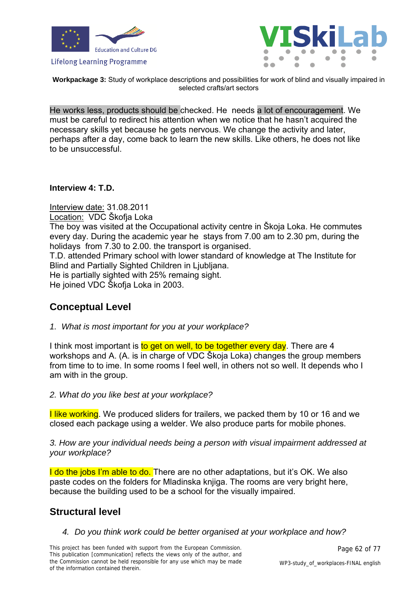



**Workpackage 3:** Study of workplace descriptions and possibilities for work of blind and visually impaired in selected crafts/art sectors

He works less, products should be checked. He needs a lot of encouragement. We must be careful to redirect his attention when we notice that he hasn't acquired the necessary skills yet because he gets nervous. We change the activity and later, perhaps after a day, come back to learn the new skills. Like others, he does not like to be unsuccessful.

**Interview 4: T.D.** 

Interview date: 31.08.2011 Location: VDC Škofja Loka The boy was visited at the Occupational activity centre in Škoja Loka. He commutes every day. During the academic year he stays from 7.00 am to 2.30 pm, during the holidays from 7.30 to 2.00. the transport is organised. T.D. attended Primary school with lower standard of knowledge at The Institute for Blind and Partially Sighted Children in Ljubljana. He is partially sighted with 25% remaing sight. He joined VDC Škofja Loka in 2003.

# **Conceptual Level**

*1. What is most important for you at your workplace?* 

I think most important is to get on well, to be together every day. There are 4 workshops and A. (A. is in charge of VDC Škoja Loka) changes the group members from time to to ime. In some rooms I feel well, in others not so well. It depends who I am with in the group.

*2. What do you like best at your workplace?* 

**I like working**. We produced sliders for trailers, we packed them by 10 or 16 and we closed each package using a welder. We also produce parts for mobile phones.

*3. How are your individual needs being a person with visual impairment addressed at your workplace?* 

I do the jobs I'm able to do. There are no other adaptations, but it's OK. We also paste codes on the folders for Mladinska knjiga. The rooms are very bright here, because the building used to be a school for the visually impaired.

# **Structural level**

*4. Do you think work could be better organised at your workplace and how?*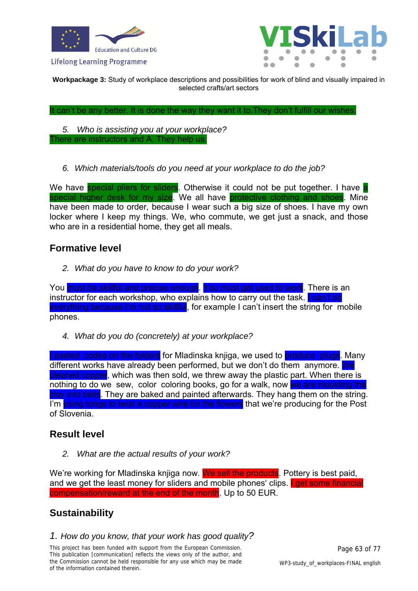



**Workpackage 3:** Study of workplace descriptions and possibilities for work of blind and visually impaired in selected crafts/art sectors

It can't be any better. It is done the way they want it to.They don't fulfill our wishes.

*5. Who is assisting you at your workplace?*  There are instructors and A. They help us.

*6. Which materials/tools do you need at your workplace to do the job?* 

We have special pliers for sliders. Otherwise it could not be put together. I have a special higher desk for my size. We all have protective clothing and shoes. Mine have been made to order, because I wear such a big size of shoes. I have my own locker where I keep my things. We, who commute, we get just a snack, and those who are in a residential home, they get all meals.

### **Formative level**

*2. What do you have to know to do your work?* 

You must be skillful and precise enough. You must get used to work. There is an instructor for each workshop, who explains how to carry out the task. I can't do everything because I'm not so skillful, for example I can't insert the string for mobile phones.

*4. What do you do (concretely) at your workplace?* 

I pasted codes on the folders for Mladinska knjiga, we used to produce plugs. Many different works have already been performed, but we don't do them anymore. We cleaned copper, which was then sold, we threw away the plastic part. When there is nothing to do we sew, color coloring books, go for a walk, now we are moulding the clay into bells. They are baked and painted afterwards. They hang them on the string. I'm using tongs to twist a copper wire for the flowers that we're producing for the Post of Slovenia.

# **Result level**

*2. What are the actual results of your work?* 

We're working for Mladinska knjiga now. We sell the products. Pottery is best paid, and we get the least money for sliders and mobile phones' clips. I get some financial compensation/reward at the end of the month. Up to 50 EUR.

# **Sustainability**

### *1. How do you know, that your work has good quality?*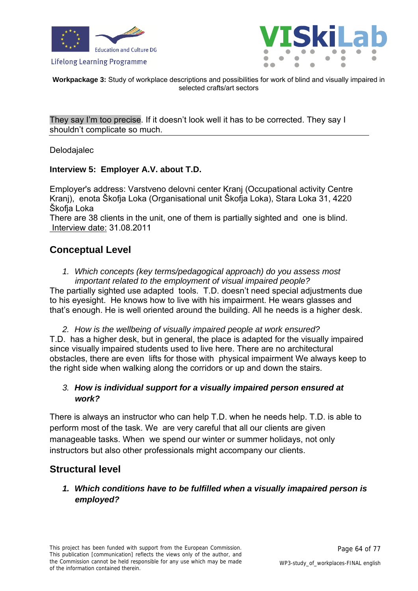



**Workpackage 3:** Study of workplace descriptions and possibilities for work of blind and visually impaired in selected crafts/art sectors

They say I'm too precise. If it doesn't look well it has to be corrected. They say I shouldn't complicate so much.

Delodajalec

#### **Interview 5: Employer A.V. about T.D.**

Employer's address: Varstveno delovni center Kranj (Occupational activity Centre Kranj), enota Škofja Loka (Organisational unit Škofja Loka), Stara Loka 31, 4220 Škofja Loka

There are 38 clients in the unit, one of them is partially sighted and one is blind. Interview date: 31.08.2011

# **Conceptual Level**

*1. Which concepts (key terms/pedagogical approach) do you assess most important related to the employment of visual impaired people?* 

The partially sighted use adapted tools. T.D. doesn't need special adjustments due to his eyesight. He knows how to live with his impairment. He wears glasses and that's enough. He is well oriented around the building. All he needs is a higher desk.

*2. How is the wellbeing of visually impaired people at work ensured?*  T.D. has a higher desk, but in general, the place is adapted for the visually impaired since visually impaired students used to live here. There are no architectural obstacles, there are even lifts for those with physical impairment We always keep to the right side when walking along the corridors or up and down the stairs.

### *3. How is individual support for a visually impaired person ensured at work?*

There is always an instructor who can help T.D. when he needs help. T.D. is able to perform most of the task. We are very careful that all our clients are given manageable tasks. When we spend our winter or summer holidays, not only instructors but also other professionals might accompany our clients.

# **Structural level**

*1. Which conditions have to be fulfilled when a visually imapaired person is employed?*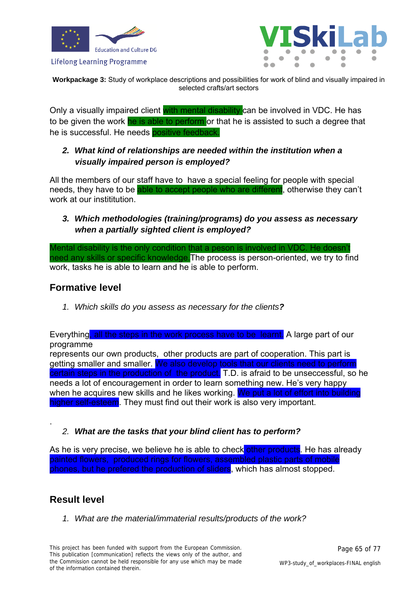



**Workpackage 3:** Study of workplace descriptions and possibilities for work of blind and visually impaired in selected crafts/art sectors

Only a visually impaired client with mental disability can be involved in VDC. He has to be given the work he is able to perform or that he is assisted to such a degree that he is successful. He needs positive feedback.

### *2. What kind of relationships are needed within the institution when a visually impaired person is employed?*

All the members of our staff have to have a special feeling for people with special needs, they have to be able to accept people who are different, otherwise they can't work at our instititution

### *3. Which methodologies (training/programs) do you assess as necessary when a partially sighted client is employed?*

Mental disability is the only condition that a peson is involved in VDC. He doesn't need any skills or specific knowledge.The process is person-oriented, we try to find work, tasks he is able to learn and he is able to perform.

# **Formative level**

*1. Which skills do you assess as necessary for the clients?* 

Everything, all the steps in the work process have to be learnt. A large part of our programme

represents our own products, other products are part of cooperation. This part is getting smaller and smaller. We also develop tools that our clients need to perform certain steps in the production of the product. T.D. is afraid to be unseccessful, so he needs a lot of encouragement in order to learn something new. He's very happy when he acquires new skills and he likes working. We put a lot of effort into building higher self-esteem. They must find out their work is also very important.

### *2. What are the tasks that your blind client has to perform?*

As he is very precise, we believe he is able to check other products. He has already painted flowers, produced rings for flowers, assembled plastic parts of mobile phones, but he prefered the production of sliders, which has almost stopped.

# **Result level**

.

*1. What are the material/immaterial results/products of the work?*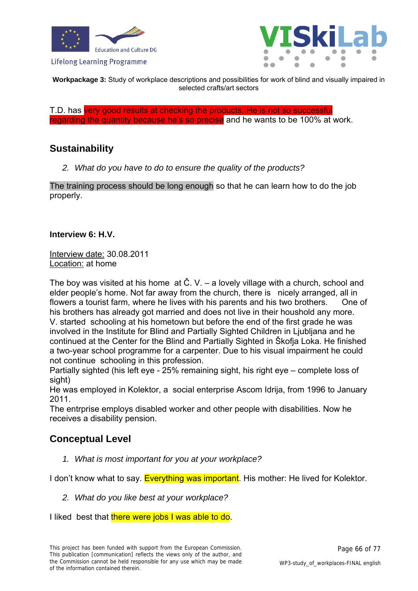



**Workpackage 3:** Study of workplace descriptions and possibilities for work of blind and visually impaired in selected crafts/art sectors

T.D. has very good results at checking the products. He is not so successful regarding the quantity because he's so precise and he wants to be 100% at work.

# **Sustainability**

*2. What do you have to do to ensure the quality of the products?* 

The training process should be long enough so that he can learn how to do the job properly.

### **Interview 6: H.V.**

Interview date: 30.08.2011 Location: at home

The boy was visited at his home at Č. V. – a lovely village with a church, school and elder people's home. Not far away from the church, there is nicely arranged, all in flowers a tourist farm, where he lives with his parents and his two brothers. One of his brothers has already got married and does not live in their houshold any more. V. started schooling at his hometown but before the end of the first grade he was involved in the Institute for Blind and Partially Sighted Children in Ljubljana and he continued at the Center for the Blind and Partially Sighted in Škofja Loka. He finished a two-year school programme for a carpenter. Due to his visual impairment he could not continue schooling in this profession.

Partially sighted (his left eye - 25% remaining sight, his right eye – complete loss of sight)

He was employed in Kolektor, a social enterprise Ascom Idrija, from 1996 to January 2011.

The entrprise employs disabled worker and other people with disabilities. Now he receives a disability pension.

# **Conceptual Level**

*1. What is most important for you at your workplace?* 

I don't know what to say. Everything was important. His mother: He lived for Kolektor.

*2. What do you like best at your workplace?* 

I liked best that there were jobs I was able to do.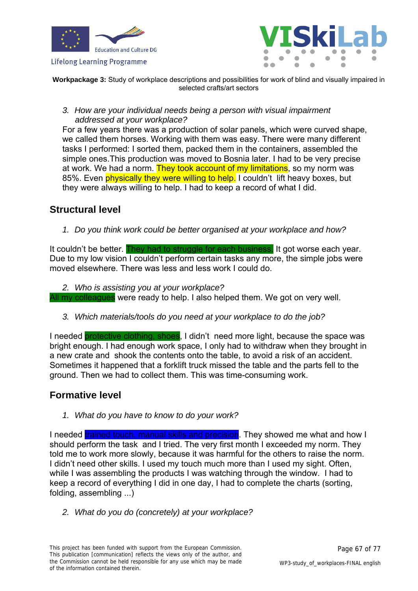



**Workpackage 3:** Study of workplace descriptions and possibilities for work of blind and visually impaired in selected crafts/art sectors

*3. How are your individual needs being a person with visual impairment addressed at your workplace?* 

For a few years there was a production of solar panels, which were curved shape, we called them horses. Working with them was easy. There were many different tasks I performed: I sorted them, packed them in the containers, assembled the simple ones.This production was moved to Bosnia later. I had to be very precise at work. We had a norm. They took account of my limitations, so my norm was 85%. Even physically they were willing to help. I couldn't lift heavy boxes, but they were always willing to help. I had to keep a record of what I did.

# **Structural level**

*1. Do you think work could be better organised at your workplace and how?* 

It couldn't be better. They had to struggle for each business. It got worse each year. Due to my low vision I couldn't perform certain tasks any more, the simple jobs were moved elsewhere. There was less and less work I could do.

*2. Who is assisting you at your workplace?* 

All my colleagues were ready to help. I also helped them. We got on very well.

*3. Which materials/tools do you need at your workplace to do the job?* 

I needed protective clothing, shoes, I didn't need more light, because the space was bright enough. I had enough work space, I only had to withdraw when they brought in a new crate and shook the contents onto the table, to avoid a risk of an accident. Sometimes it happened that a forklift truck missed the table and the parts fell to the ground. Then we had to collect them. This was time-consuming work.

# **Formative level**

*1. What do you have to know to do your work?* 

I needed trained touch, manual skills and precision. They showed me what and how I should perform the task and I tried. The very first month I exceeded my norm. They told me to work more slowly, because it was harmful for the others to raise the norm. I didn't need other skills. I used my touch much more than I used my sight. Often, while I was assembling the products I was watching through the window. I had to keep a record of everything I did in one day, I had to complete the charts (sorting, folding, assembling ...)

*2. What do you do (concretely) at your workplace?*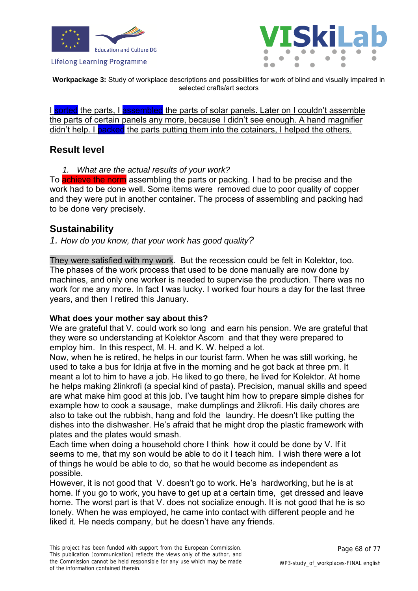



**Workpackage 3:** Study of workplace descriptions and possibilities for work of blind and visually impaired in selected crafts/art sectors

I sorted the parts, I assembled the parts of solar panels. Later on I couldn't assemble the parts of certain panels any more, because I didn't see enough. A hand magnifier didn't help. I **packed** the parts putting them into the cotainers, I helped the others.

### **Result level**

*1. What are the actual results of your work?* 

To achieve the norm assembling the parts or packing. I had to be precise and the work had to be done well. Some items were removed due to poor quality of copper and they were put in another container. The process of assembling and packing had to be done very precisely.

# **Sustainability**

*1. How do you know, that your work has good quality?* 

They were satisfied with my work. But the recession could be felt in Kolektor, too. The phases of the work process that used to be done manually are now done by machines, and only one worker is needed to supervise the production. There was no work for me any more. In fact I was lucky. I worked four hours a day for the last three years, and then I retired this January.

### **What does your mother say about this?**

We are grateful that V. could work so long and earn his pension. We are grateful that they were so understanding at Kolektor Ascom and that they were prepared to employ him. In this respect, M. H. and K. W. helped a lot.

Now, when he is retired, he helps in our tourist farm. When he was still working, he used to take a bus for Idrija at five in the morning and he got back at three pm. It meant a lot to him to have a job. He liked to go there, he lived for Kolektor. At home he helps making žlinkrofi (a special kind of pasta). Precision, manual skills and speed are what make him good at this job. I've taught him how to prepare simple dishes for example how to cook a sausage, make dumplings and žlikrofi. His daily chores are also to take out the rubbish, hang and fold the laundry. He doesn't like putting the dishes into the dishwasher. He's afraid that he might drop the plastic framework with plates and the plates would smash.

Each time when doing a household chore I think how it could be done by V. If it seems to me, that my son would be able to do it I teach him. I wish there were a lot of things he would be able to do, so that he would become as independent as possible.

However, it is not good that V. doesn't go to work. He's hardworking, but he is at home. If you go to work, you have to get up at a certain time, get dressed and leave home. The worst part is that V. does not socialize enough. It is not good that he is so lonely. When he was employed, he came into contact with different people and he liked it. He needs company, but he doesn't have any friends.

Page 68 of 77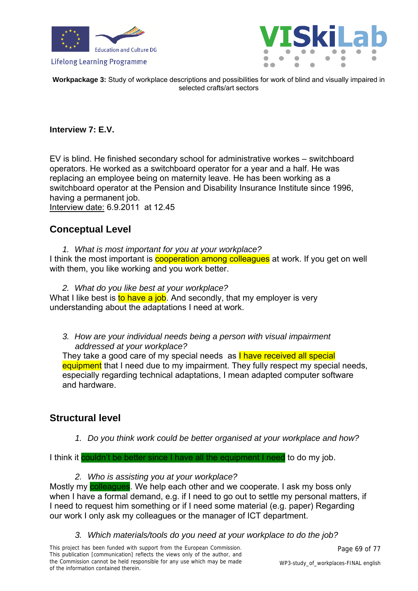



**Workpackage 3:** Study of workplace descriptions and possibilities for work of blind and visually impaired in selected crafts/art sectors

### **Interview 7: E.V.**

EV is blind. He finished secondary school for administrative workes – switchboard operators. He worked as a switchboard operator for a year and a half. He was replacing an employee being on maternity leave. He has been working as a switchboard operator at the Pension and Disability Insurance Institute since 1996, having a permanent job. Interview date: 6.9.2011 at 12.45

# **Conceptual Level**

- *1. What is most important for you at your workplace?*  I think the most important is **cooperation among colleagues** at work. If you get on well with them, you like working and you work better.
- *2. What do you like best at your workplace?*  What I like best is to have a job. And secondly, that my employer is very understanding about the adaptations I need at work.
	- *3. How are your individual needs being a person with visual impairment addressed at your workplace?*

They take a good care of my special needs as **I have received all special** equipment that I need due to my impairment. They fully respect my special needs, especially regarding technical adaptations, I mean adapted computer software and hardware.

# **Structural level**

*1. Do you think work could be better organised at your workplace and how?* 

I think it couldn't be better since I have all the equipment I need to do my job.

*2. Who is assisting you at your workplace?* 

Mostly my colleagues. We help each other and we cooperate. I ask my boss only when I have a formal demand, e.g. if I need to go out to settle my personal matters, if I need to request him something or if I need some material (e.g. paper) Regarding our work I only ask my colleagues or the manager of ICT department.

*3. Which materials/tools do you need at your workplace to do the job?*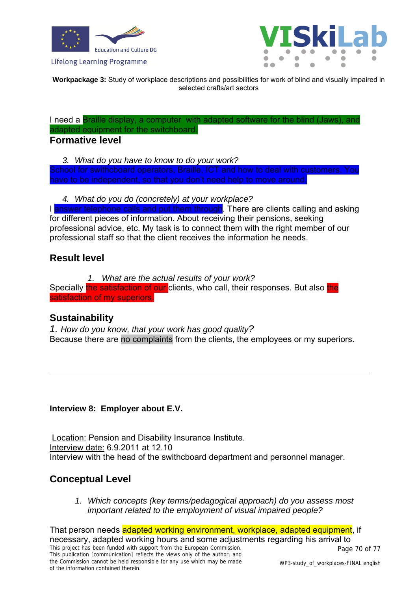



**Workpackage 3:** Study of workplace descriptions and possibilities for work of blind and visually impaired in selected crafts/art sectors

I need a Braille display, a computer with adapted software for the blind (Jaws), and adapted equipment for the switchboard.

### **Formative level**

*3. What do you have to know to do your work?* 

School for swithcboard operators, Braille, ICT and how to deal with customers. You have to be independent, so that you don't need help to move around.

*4. What do you do (concretely) at your workplace?* 

I answer telephone calls and put them through. There are clients calling and asking for different pieces of information. About receiving their pensions, seeking professional advice, etc. My task is to connect them with the right member of our professional staff so that the client receives the information he needs.

# **Result level**

*1. What are the actual results of your work?*  Specially the satisfaction of our clients, who call, their responses. But also the satisfaction of my superiors.

# **Sustainability**

*1. How do you know, that your work has good quality?*  Because there are no complaints from the clients, the employees or my superiors.

### **Interview 8: Employer about E.V.**

Location: Pension and Disability Insurance Institute. Interview date: 6.9.2011 at 12.10 Interview with the head of the swithcboard department and personnel manager.

# **Conceptual Level**

*1. Which concepts (key terms/pedagogical approach) do you assess most important related to the employment of visual impaired people?* 

This project has been funded with support from the European Commission. This publication [communication] reflects the views only of the author, and the Commission cannot be held responsible for any use which may be made of the information contained therein. Page 70 of 77 WP3-study\_of\_workplaces-FINAL english That person needs adapted working environment, workplace, adapted equipment, if necessary, adapted working hours and some adjustments regarding his arrival to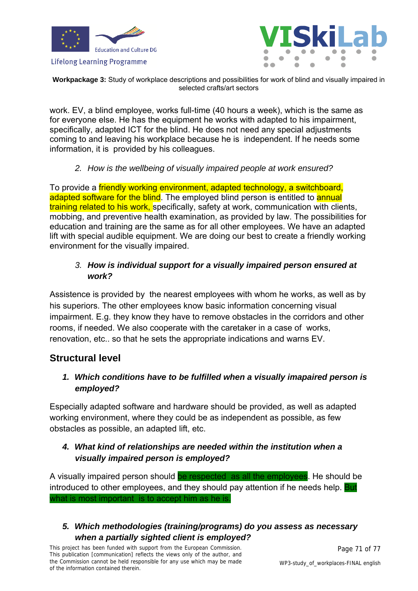



**Workpackage 3:** Study of workplace descriptions and possibilities for work of blind and visually impaired in selected crafts/art sectors

work. EV, a blind employee, works full-time (40 hours a week), which is the same as for everyone else. He has the equipment he works with adapted to his impairment, specifically, adapted ICT for the blind. He does not need any special adjustments coming to and leaving his workplace because he is independent. If he needs some information, it is provided by his colleagues.

*2. How is the wellbeing of visually impaired people at work ensured?* 

To provide a friendly working environment, adapted technology, a switchboard, adapted software for the blind. The employed blind person is entitled to annual training related to his work, specifically, safety at work, communication with clients, mobbing, and preventive health examination, as provided by law. The possibilities for education and training are the same as for all other employees. We have an adapted lift with special audible equipment. We are doing our best to create a friendly working environment for the visually impaired.

### *3. How is individual support for a visually impaired person ensured at work?*

Assistence is provided by the nearest employees with whom he works, as well as by his superiors. The other employees know basic information concerning visual impairment. E.g. they know they have to remove obstacles in the corridors and other rooms, if needed. We also cooperate with the caretaker in a case of works, renovation, etc.. so that he sets the appropriate indications and warns EV.

# **Structural level**

# *1. Which conditions have to be fulfilled when a visually imapaired person is employed?*

Especially adapted software and hardware should be provided, as well as adapted working environment, where they could be as independent as possible, as few obstacles as possible, an adapted lift, etc.

# *4. What kind of relationships are needed within the institution when a visually impaired person is employed?*

A visually impaired person should be respected as all the employees. He should be introduced to other employees, and they should pay attention if he needs help. But what is most important is to accept him as he is.

# *5. Which methodologies (training/programs) do you assess as necessary when a partially sighted client is employed?*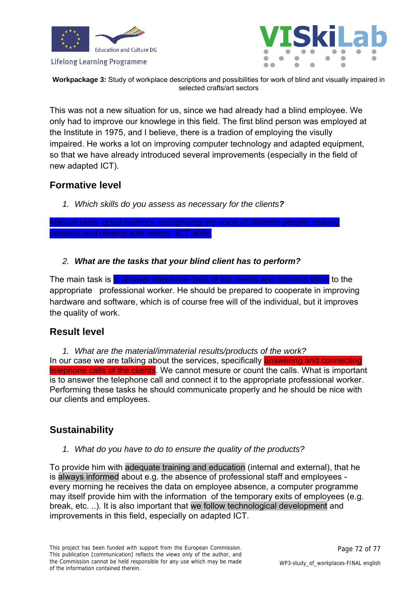



**Workpackage 3:** Study of workplace descriptions and possibilities for work of blind and visually impaired in selected crafts/art sectors

This was not a new situation for us, since we had already had a blind employee. We only had to improve our knowlege in this field. The first blind person was employed at the Institute in 1975, and I believe, there is a tradion of employing the visully impaired. He works a lot on improving computer technology and adapted equipment, so that we have already introduced several improvements (especially in the field of new adapted ICT).

# **Formative level**

*1. Which skills do you assess as necessary for the clients?* 

*Manual skills, good memory, recognising the voice of different people, making contacts and dealing with clients, ICT skills.*

*2. What are the tasks that your blind client has to perform?* 

The main task is to answer telephone calls of the clients and connecti them to the appropriate professional worker. He should be prepared to cooperate in improving hardware and software, which is of course free will of the individual, but it improves the quality of work.

# **Result level**

*1. What are the material/immaterial results/products of the work?*  In our case we are talking about the services, specifically **answering and connecting** telephone calls of the clients. We cannot mesure or count the calls. What is important is to answer the telephone call and connect it to the appropriate professional worker. Performing these tasks he should communicate properly and he should be nice with our clients and employees.

# **Sustainability**

*1. What do you have to do to ensure the quality of the products?* 

To provide him with adequate training and education (internal and external), that he is always informed about e.g. the absence of professional staff and employees every morning he receives the data on employee absence, a computer programme may itself provide him with the information of the temporary exits of employees (e.g. break, etc. ..). It is also important that we follow technological development and improvements in this field, especially on adapted ICT.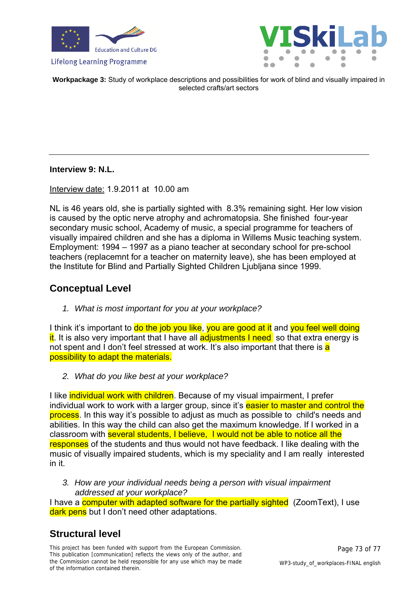



**Workpackage 3:** Study of workplace descriptions and possibilities for work of blind and visually impaired in selected crafts/art sectors

**Interview 9: N.L.** 

Interview date: 1.9.2011 at 10.00 am

NL is 46 years old, she is partially sighted with 8.3% remaining sight. Her low vision is caused by the optic nerve atrophy and achromatopsia. She finished four-year secondary music school, Academy of music, a special programme for teachers of visually impaired children and she has a diploma in Willems Music teaching system. Employment: 1994 – 1997 as a piano teacher at secondary school for pre-school teachers (replacemnt for a teacher on maternity leave), she has been employed at the Institute for Blind and Partially Sighted Children Ljubljana since 1999.

## **Conceptual Level**

*1. What is most important for you at your workplace?* 

I think it's important to do the job you like, you are good at it and you feel well doing it. It is also very important that I have all **adjustments I need** so that extra energy is not spent and I don't feel stressed at work. It's also important that there is a possibility to adapt the materials.

*2. What do you like best at your workplace?* 

I like individual work with children. Because of my visual impairment, I prefer individual work to work with a larger group, since it's easier to master and control the process. In this way it's possible to adjust as much as possible to child's needs and abilities. In this way the child can also get the maximum knowledge. If I worked in a classroom with several students, I believe, I would not be able to notice all the responses of the students and thus would not have feedback. I like dealing with the music of visually impaired students, which is my speciality and I am really interested in it.

*3. How are your individual needs being a person with visual impairment addressed at your workplace?* 

I have a computer with adapted software for the partially sighted (ZoomText), I use dark pens but I don't need other adaptations.

# **Structural level**

This project has been funded with support from the European Commission. This publication [communication] reflects the views only of the author, and the Commission cannot be held responsible for any use which may be made of the information contained therein.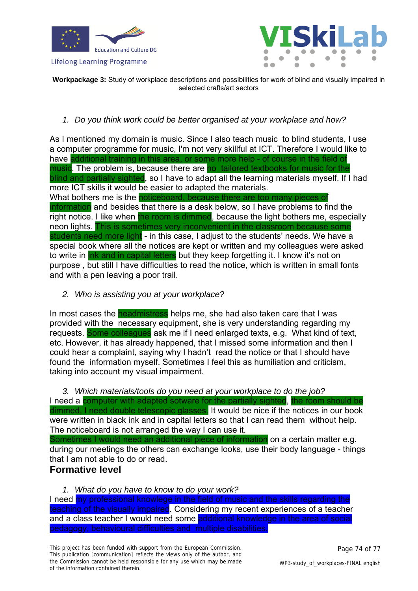



**Workpackage 3:** Study of workplace descriptions and possibilities for work of blind and visually impaired in selected crafts/art sectors

#### *1. Do you think work could be better organised at your workplace and how?*

As I mentioned my domain is music. Since I also teach music to blind students, I use a computer programme for music, I'm not very skillful at ICT. Therefore I would like to have additional training in this area, or some more help - of course in the field of music. The problem is, because there are no tailored textbooks for music for the blind and partially sighted, so I have to adapt all the learning materials myself. If I had more ICT skills it would be easier to adapted the materials. What bothers me is the noticeboard, because there are too many pieces of information and besides that there is a desk below, so I have problems to find the right notice. I like when the room is dimmed, because the light bothers me, especially neon lights. This is sometimes very inconvenient in the classroom because some students need more light - in this case, I adjust to the students' needs. We have a special book where all the notices are kept or written and my colleagues were asked to write in ink and in capital letters but they keep forgetting it. I know it's not on purpose , but still I have difficulties to read the notice, which is written in small fonts and with a pen leaving a poor trail.

*2. Who is assisting you at your workplace?* 

In most cases the **headmistress** helps me, she had also taken care that I was provided with the necessary equipment, she is very understanding regarding my requests. Some colleagues ask me if I need enlarged texts, e.g. What kind of text, etc. However, it has already happened, that I missed some information and then I could hear a complaint, saying why I hadn't read the notice or that I should have found the information myself. Sometimes I feel this as humiliation and criticism, taking into account my visual impairment.

*3. Which materials/tools do you need at your workplace to do the job?*  I need a computer with adapted sotware for the partially sighted, the room should be dimmed, I need double telescopic glasses. It would be nice if the notices in our book were written in black ink and in capital letters so that I can read them without help. The noticeboard is not arranged the way I can use it.

Sometimes I would need an additional piece of information on a certain matter e.g. during our meetings the others can exchange looks, use their body language - things that I am not able to do or read.

### **Formative level**

*1. What do you have to know to do your work?* 

I need my professional knowlege in the field of music and the skills regarding the teaching of the visually impaired. Considering my recent experiences of a teacher and a class teacher I would need some additional knowledge in the area of social pedagogy, behavioural difficulties and multiple disabilities.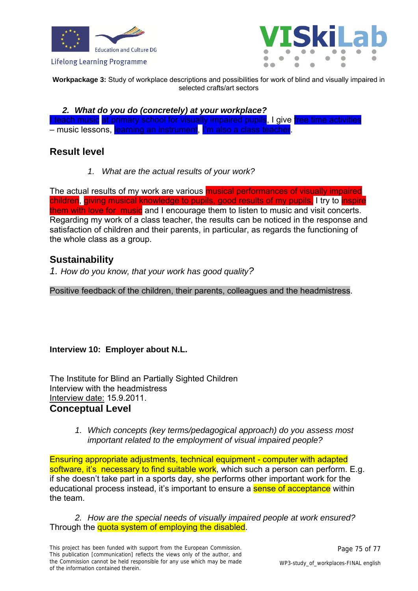



**Workpackage 3:** Study of workplace descriptions and possibilities for work of blind and visually impaired in selected crafts/art sectors

*2. What do you do (concretely) at your workplace?* 

I teach music at primary school for visually impaired pupils. I give free time activities – music lessons, learning an instrument, I'm also a class teacher.

## **Result level**

*1. What are the actual results of your work?* 

The actual results of my work are various **musical performances of visually impaired** children, giving musical knowledge to pupils, good results of my pupils, I try to inspire them with love for music and I encourage them to listen to music and visit concerts. Regarding my work of a class teacher, the results can be noticed in the response and satisfaction of children and their parents, in particular, as regards the functioning of the whole class as a group.

## **Sustainability**

*1. How do you know, that your work has good quality?* 

Positive feedback of the children, their parents, colleagues and the headmistress.

### **Interview 10: Employer about N.L.**

The Institute for Blind an Partially Sighted Children Interview with the headmistress Interview date: 15.9.2011. **Conceptual Level** 

> *1. Which concepts (key terms/pedagogical approach) do you assess most important related to the employment of visual impaired people?*

Ensuring appropriate adjustments, technical equipment - computer with adapted software, it's necessary to find suitable work, which such a person can perform. E.g. if she doesn't take part in a sports day, she performs other important work for the educational process instead, it's important to ensure a **sense of acceptance** within the team.

*2. How are the special needs of visually impaired people at work ensured?*  Through the quota system of employing the disabled.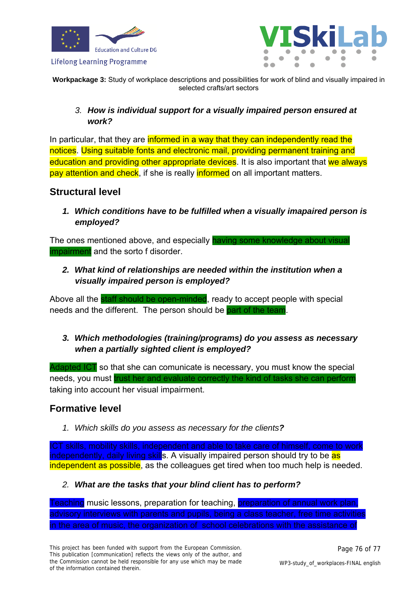



**Workpackage 3:** Study of workplace descriptions and possibilities for work of blind and visually impaired in selected crafts/art sectors

### *3. How is individual support for a visually impaired person ensured at work?*

In particular, that they are informed in a way that they can independently read the notices. Using suitable fonts and electronic mail, providing permanent training and education and providing other appropriate devices. It is also important that we always pay attention and check, if she is really informed on all important matters.

## **Structural level**

*1. Which conditions have to be fulfilled when a visually imapaired person is employed?* 

The ones mentioned above, and especially having some knowledge about visual impairment and the sorto f disorder.

*2. What kind of relationships are needed within the institution when a visually impaired person is employed?* 

Above all the staff should be open-minded, ready to accept people with special needs and the different. The person should be part of the team

## *3. Which methodologies (training/programs) do you assess as necessary when a partially sighted client is employed?*

Adapted ICT so that she can comunicate is necessary, you must know the special needs, you must trust her and evaluate correctly the kind of tasks she can perform taking into account her visual impairment.

# **Formative level**

*1. Which skills do you assess as necessary for the clients?* 

ICT skills, mobility skills, independent and able to take care of himself, come to work independently, daily living skills. A visually impaired person should try to be as independent as possible, as the colleagues get tired when too much help is needed.

*2. What are the tasks that your blind client has to perform?* 

Teaching music lessons, preparation for teaching, preparation of annual work plan, advisory interviews with parents and pupils, being a class teacher, free time activities in the area of music, the organization of school celebrations with the assistance of